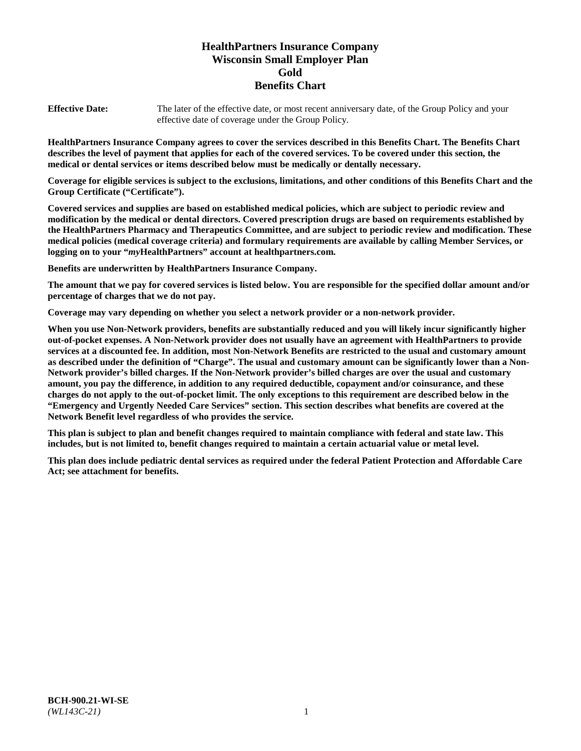# **HealthPartners Insurance Company Wisconsin Small Employer Plan Gold Benefits Chart**

**Effective Date:** The later of the effective date, or most recent anniversary date, of the Group Policy and your effective date of coverage under the Group Policy.

**HealthPartners Insurance Company agrees to cover the services described in this Benefits Chart. The Benefits Chart describes the level of payment that applies for each of the covered services. To be covered under this section, the medical or dental services or items described below must be medically or dentally necessary.**

**Coverage for eligible services is subject to the exclusions, limitations, and other conditions of this Benefits Chart and the Group Certificate ("Certificate").**

**Covered services and supplies are based on established medical policies, which are subject to periodic review and modification by the medical or dental directors. Covered prescription drugs are based on requirements established by the HealthPartners Pharmacy and Therapeutics Committee, and are subject to periodic review and modification. These medical policies (medical coverage criteria) and formulary requirements are available by calling Member Services, or logging on to your "***my***HealthPartners" account at [healthpartners.com.](https://www.healthpartners.com/hp/index.html)**

**Benefits are underwritten by HealthPartners Insurance Company.**

**The amount that we pay for covered services is listed below. You are responsible for the specified dollar amount and/or percentage of charges that we do not pay.**

**Coverage may vary depending on whether you select a network provider or a non-network provider.**

**When you use Non-Network providers, benefits are substantially reduced and you will likely incur significantly higher out-of-pocket expenses. A Non-Network provider does not usually have an agreement with HealthPartners to provide services at a discounted fee. In addition, most Non-Network Benefits are restricted to the usual and customary amount as described under the definition of "Charge". The usual and customary amount can be significantly lower than a Non-Network provider's billed charges. If the Non-Network provider's billed charges are over the usual and customary amount, you pay the difference, in addition to any required deductible, copayment and/or coinsurance, and these charges do not apply to the out-of-pocket limit. The only exceptions to this requirement are described below in the "Emergency and Urgently Needed Care Services" section. This section describes what benefits are covered at the Network Benefit level regardless of who provides the service.**

**This plan is subject to plan and benefit changes required to maintain compliance with federal and state law. This includes, but is not limited to, benefit changes required to maintain a certain actuarial value or metal level.**

**This plan does include pediatric dental services as required under the federal Patient Protection and Affordable Care Act; see attachment for benefits.**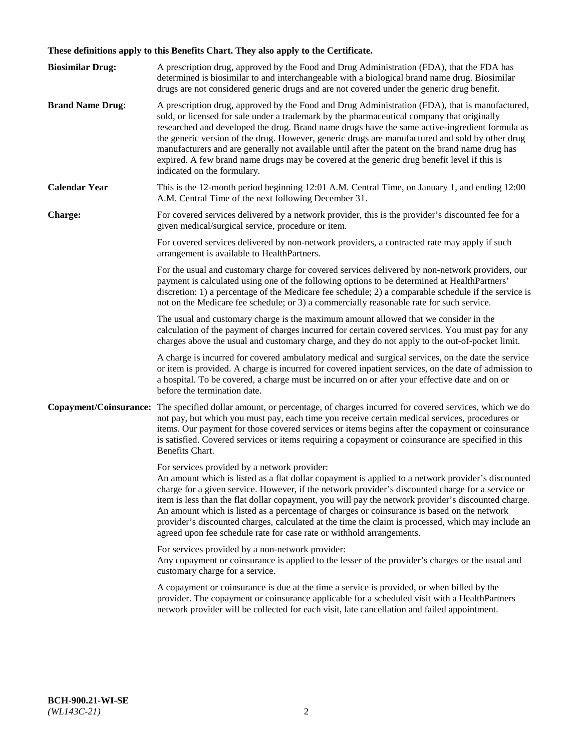# **These definitions apply to this Benefits Chart. They also apply to the Certificate.**

| <b>Biosimilar Drug:</b> | A prescription drug, approved by the Food and Drug Administration (FDA), that the FDA has<br>determined is biosimilar to and interchangeable with a biological brand name drug. Biosimilar<br>drugs are not considered generic drugs and are not covered under the generic drug benefit.                                                                                                                                                                                                                                                                                                                                                     |
|-------------------------|----------------------------------------------------------------------------------------------------------------------------------------------------------------------------------------------------------------------------------------------------------------------------------------------------------------------------------------------------------------------------------------------------------------------------------------------------------------------------------------------------------------------------------------------------------------------------------------------------------------------------------------------|
| <b>Brand Name Drug:</b> | A prescription drug, approved by the Food and Drug Administration (FDA), that is manufactured,<br>sold, or licensed for sale under a trademark by the pharmaceutical company that originally<br>researched and developed the drug. Brand name drugs have the same active-ingredient formula as<br>the generic version of the drug. However, generic drugs are manufactured and sold by other drug<br>manufacturers and are generally not available until after the patent on the brand name drug has<br>expired. A few brand name drugs may be covered at the generic drug benefit level if this is<br>indicated on the formulary.           |
| <b>Calendar Year</b>    | This is the 12-month period beginning 12:01 A.M. Central Time, on January 1, and ending 12:00<br>A.M. Central Time of the next following December 31.                                                                                                                                                                                                                                                                                                                                                                                                                                                                                        |
| <b>Charge:</b>          | For covered services delivered by a network provider, this is the provider's discounted fee for a<br>given medical/surgical service, procedure or item.                                                                                                                                                                                                                                                                                                                                                                                                                                                                                      |
|                         | For covered services delivered by non-network providers, a contracted rate may apply if such<br>arrangement is available to HealthPartners.                                                                                                                                                                                                                                                                                                                                                                                                                                                                                                  |
|                         | For the usual and customary charge for covered services delivered by non-network providers, our<br>payment is calculated using one of the following options to be determined at HealthPartners'<br>discretion: 1) a percentage of the Medicare fee schedule; 2) a comparable schedule if the service is<br>not on the Medicare fee schedule; or 3) a commercially reasonable rate for such service.                                                                                                                                                                                                                                          |
|                         | The usual and customary charge is the maximum amount allowed that we consider in the<br>calculation of the payment of charges incurred for certain covered services. You must pay for any<br>charges above the usual and customary charge, and they do not apply to the out-of-pocket limit.                                                                                                                                                                                                                                                                                                                                                 |
|                         | A charge is incurred for covered ambulatory medical and surgical services, on the date the service<br>or item is provided. A charge is incurred for covered inpatient services, on the date of admission to<br>a hospital. To be covered, a charge must be incurred on or after your effective date and on or<br>before the termination date.                                                                                                                                                                                                                                                                                                |
| Copayment/Coinsurance:  | The specified dollar amount, or percentage, of charges incurred for covered services, which we do<br>not pay, but which you must pay, each time you receive certain medical services, procedures or<br>items. Our payment for those covered services or items begins after the copayment or coinsurance<br>is satisfied. Covered services or items requiring a copayment or coinsurance are specified in this<br>Benefits Chart.                                                                                                                                                                                                             |
|                         | For services provided by a network provider:<br>An amount which is listed as a flat dollar copayment is applied to a network provider's discounted<br>charge for a given service. However, if the network provider's discounted charge for a service or<br>item is less than the flat dollar copayment, you will pay the network provider's discounted charge.<br>An amount which is listed as a percentage of charges or coinsurance is based on the network<br>provider's discounted charges, calculated at the time the claim is processed, which may include an<br>agreed upon fee schedule rate for case rate or withhold arrangements. |
|                         | For services provided by a non-network provider:<br>Any copayment or coinsurance is applied to the lesser of the provider's charges or the usual and<br>customary charge for a service.                                                                                                                                                                                                                                                                                                                                                                                                                                                      |
|                         | A copayment or coinsurance is due at the time a service is provided, or when billed by the<br>provider. The copayment or coinsurance applicable for a scheduled visit with a HealthPartners<br>network provider will be collected for each visit, late cancellation and failed appointment.                                                                                                                                                                                                                                                                                                                                                  |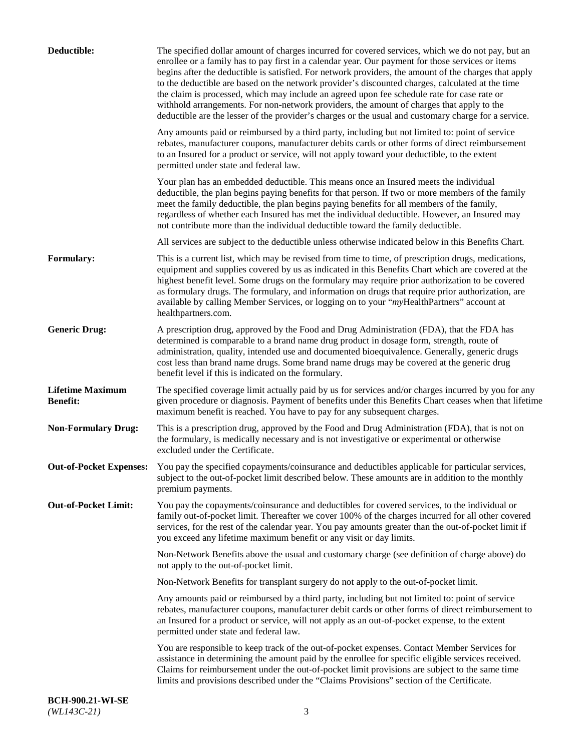| Deductible:                                | The specified dollar amount of charges incurred for covered services, which we do not pay, but an<br>enrollee or a family has to pay first in a calendar year. Our payment for those services or items<br>begins after the deductible is satisfied. For network providers, the amount of the charges that apply<br>to the deductible are based on the network provider's discounted charges, calculated at the time<br>the claim is processed, which may include an agreed upon fee schedule rate for case rate or<br>withhold arrangements. For non-network providers, the amount of charges that apply to the<br>deductible are the lesser of the provider's charges or the usual and customary charge for a service. |
|--------------------------------------------|-------------------------------------------------------------------------------------------------------------------------------------------------------------------------------------------------------------------------------------------------------------------------------------------------------------------------------------------------------------------------------------------------------------------------------------------------------------------------------------------------------------------------------------------------------------------------------------------------------------------------------------------------------------------------------------------------------------------------|
|                                            | Any amounts paid or reimbursed by a third party, including but not limited to: point of service<br>rebates, manufacturer coupons, manufacturer debits cards or other forms of direct reimbursement<br>to an Insured for a product or service, will not apply toward your deductible, to the extent<br>permitted under state and federal law.                                                                                                                                                                                                                                                                                                                                                                            |
|                                            | Your plan has an embedded deductible. This means once an Insured meets the individual<br>deductible, the plan begins paying benefits for that person. If two or more members of the family<br>meet the family deductible, the plan begins paying benefits for all members of the family,<br>regardless of whether each Insured has met the individual deductible. However, an Insured may<br>not contribute more than the individual deductible toward the family deductible.                                                                                                                                                                                                                                           |
|                                            | All services are subject to the deductible unless otherwise indicated below in this Benefits Chart.                                                                                                                                                                                                                                                                                                                                                                                                                                                                                                                                                                                                                     |
| Formulary:                                 | This is a current list, which may be revised from time to time, of prescription drugs, medications,<br>equipment and supplies covered by us as indicated in this Benefits Chart which are covered at the<br>highest benefit level. Some drugs on the formulary may require prior authorization to be covered<br>as formulary drugs. The formulary, and information on drugs that require prior authorization, are<br>available by calling Member Services, or logging on to your "myHealthPartners" account at<br>healthpartners.com.                                                                                                                                                                                   |
| <b>Generic Drug:</b>                       | A prescription drug, approved by the Food and Drug Administration (FDA), that the FDA has<br>determined is comparable to a brand name drug product in dosage form, strength, route of<br>administration, quality, intended use and documented bioequivalence. Generally, generic drugs<br>cost less than brand name drugs. Some brand name drugs may be covered at the generic drug<br>benefit level if this is indicated on the formulary.                                                                                                                                                                                                                                                                             |
| <b>Lifetime Maximum</b><br><b>Benefit:</b> | The specified coverage limit actually paid by us for services and/or charges incurred by you for any<br>given procedure or diagnosis. Payment of benefits under this Benefits Chart ceases when that lifetime<br>maximum benefit is reached. You have to pay for any subsequent charges.                                                                                                                                                                                                                                                                                                                                                                                                                                |
| <b>Non-Formulary Drug:</b>                 | This is a prescription drug, approved by the Food and Drug Administration (FDA), that is not on<br>the formulary, is medically necessary and is not investigative or experimental or otherwise<br>excluded under the Certificate.                                                                                                                                                                                                                                                                                                                                                                                                                                                                                       |
|                                            | Out-of-Pocket Expenses: You pay the specified copayments/coinsurance and deductibles applicable for particular services,<br>subject to the out-of-pocket limit described below. These amounts are in addition to the monthly<br>premium payments.                                                                                                                                                                                                                                                                                                                                                                                                                                                                       |
| <b>Out-of-Pocket Limit:</b>                | You pay the copayments/coinsurance and deductibles for covered services, to the individual or<br>family out-of-pocket limit. Thereafter we cover 100% of the charges incurred for all other covered<br>services, for the rest of the calendar year. You pay amounts greater than the out-of-pocket limit if<br>you exceed any lifetime maximum benefit or any visit or day limits.                                                                                                                                                                                                                                                                                                                                      |
|                                            | Non-Network Benefits above the usual and customary charge (see definition of charge above) do<br>not apply to the out-of-pocket limit.                                                                                                                                                                                                                                                                                                                                                                                                                                                                                                                                                                                  |
|                                            | Non-Network Benefits for transplant surgery do not apply to the out-of-pocket limit.                                                                                                                                                                                                                                                                                                                                                                                                                                                                                                                                                                                                                                    |
|                                            | Any amounts paid or reimbursed by a third party, including but not limited to: point of service<br>rebates, manufacturer coupons, manufacturer debit cards or other forms of direct reimbursement to<br>an Insured for a product or service, will not apply as an out-of-pocket expense, to the extent<br>permitted under state and federal law.                                                                                                                                                                                                                                                                                                                                                                        |
|                                            | You are responsible to keep track of the out-of-pocket expenses. Contact Member Services for<br>assistance in determining the amount paid by the enrollee for specific eligible services received.<br>Claims for reimbursement under the out-of-pocket limit provisions are subject to the same time<br>limits and provisions described under the "Claims Provisions" section of the Certificate.                                                                                                                                                                                                                                                                                                                       |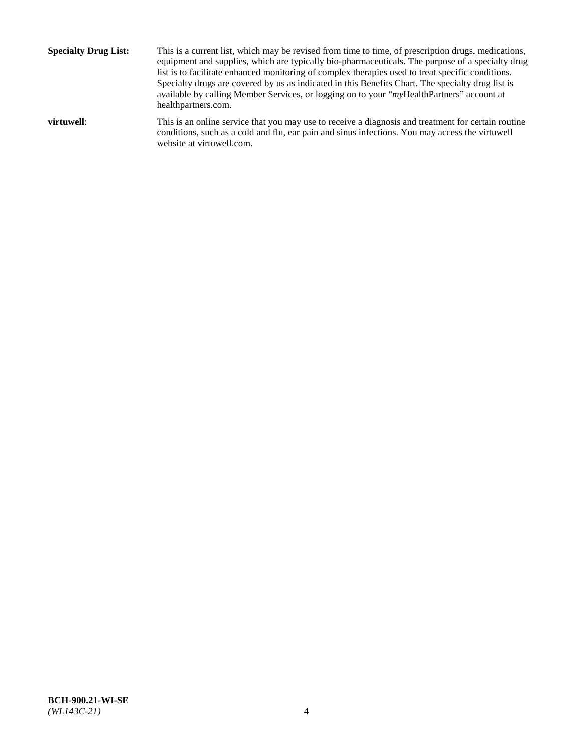**Specialty Drug List:** This is a current list, which may be revised from time to time, of prescription drugs, medications, equipment and supplies, which are typically bio-pharmaceuticals. The purpose of a specialty drug list is to facilitate enhanced monitoring of complex therapies used to treat specific conditions. Specialty drugs are covered by us as indicated in this Benefits Chart. The specialty drug list is available by calling Member Services, or logging on to your "*my*HealthPartners" account at [healthpartners.com.](http://www.healthpartners.com/) **virtuwell:** This is an online service that you may use to receive a diagnosis and treatment for certain routine conditions, such as a cold and flu, ear pain and sinus infections. You may access the virtuwell

website at [virtuwell.com.](http://www.virtuwell.com/)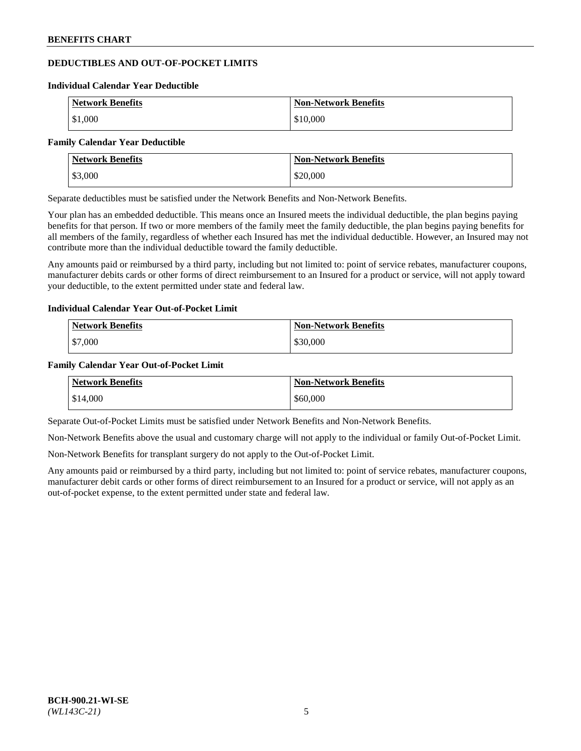# **DEDUCTIBLES AND OUT-OF-POCKET LIMITS**

#### **Individual Calendar Year Deductible**

| <b>Network Benefits</b> | <b>Non-Network Benefits</b> |
|-------------------------|-----------------------------|
| \$1,000                 | \$10,000                    |

#### **Family Calendar Year Deductible**

| <b>Network Benefits</b> | <b>Non-Network Benefits</b> |
|-------------------------|-----------------------------|
| \$3,000                 | \$20,000                    |

Separate deductibles must be satisfied under the Network Benefits and Non-Network Benefits.

Your plan has an embedded deductible. This means once an Insured meets the individual deductible, the plan begins paying benefits for that person. If two or more members of the family meet the family deductible, the plan begins paying benefits for all members of the family, regardless of whether each Insured has met the individual deductible. However, an Insured may not contribute more than the individual deductible toward the family deductible.

Any amounts paid or reimbursed by a third party, including but not limited to: point of service rebates, manufacturer coupons, manufacturer debits cards or other forms of direct reimbursement to an Insured for a product or service, will not apply toward your deductible, to the extent permitted under state and federal law.

# **Individual Calendar Year Out-of-Pocket Limit**

| <b>Network Benefits</b> | <b>Non-Network Benefits</b> |
|-------------------------|-----------------------------|
| \$7,000                 | \$30,000                    |

### **Family Calendar Year Out-of-Pocket Limit**

| <b>Network Benefits</b> | <b>Non-Network Benefits</b> |
|-------------------------|-----------------------------|
| $\frac{$1,000}{ }$      | \$60,000                    |

Separate Out-of-Pocket Limits must be satisfied under Network Benefits and Non-Network Benefits.

Non-Network Benefits above the usual and customary charge will not apply to the individual or family Out-of-Pocket Limit.

Non-Network Benefits for transplant surgery do not apply to the Out-of-Pocket Limit.

Any amounts paid or reimbursed by a third party, including but not limited to: point of service rebates, manufacturer coupons, manufacturer debit cards or other forms of direct reimbursement to an Insured for a product or service, will not apply as an out-of-pocket expense, to the extent permitted under state and federal law.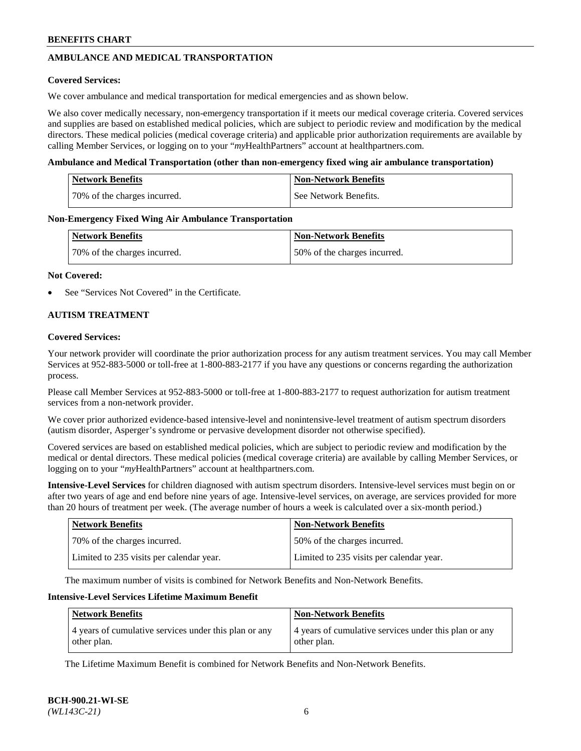# **AMBULANCE AND MEDICAL TRANSPORTATION**

### **Covered Services:**

We cover ambulance and medical transportation for medical emergencies and as shown below.

We also cover medically necessary, non-emergency transportation if it meets our medical coverage criteria. Covered services and supplies are based on established medical policies, which are subject to periodic review and modification by the medical directors. These medical policies (medical coverage criteria) and applicable prior authorization requirements are available by calling Member Services, or logging on to your "*my*HealthPartners" account a[t healthpartners.com.](https://www.healthpartners.com/hp/index.html)

### **Ambulance and Medical Transportation (other than non-emergency fixed wing air ambulance transportation)**

| <b>Network Benefits</b>      | <b>Non-Network Benefits</b> |
|------------------------------|-----------------------------|
| 70% of the charges incurred. | See Network Benefits.       |

### **Non-Emergency Fixed Wing Air Ambulance Transportation**

| <b>Network Benefits</b>      | <b>Non-Network Benefits</b>  |
|------------------------------|------------------------------|
| 70% of the charges incurred. | 50% of the charges incurred. |

### **Not Covered:**

See "Services Not Covered" in the Certificate.

# **AUTISM TREATMENT**

### **Covered Services:**

Your network provider will coordinate the prior authorization process for any autism treatment services. You may call Member Services at 952-883-5000 or toll-free at 1-800-883-2177 if you have any questions or concerns regarding the authorization process.

Please call Member Services at 952-883-5000 or toll-free at 1-800-883-2177 to request authorization for autism treatment services from a non-network provider.

We cover prior authorized evidence-based intensive-level and nonintensive-level treatment of autism spectrum disorders (autism disorder, Asperger's syndrome or pervasive development disorder not otherwise specified).

Covered services are based on established medical policies, which are subject to periodic review and modification by the medical or dental directors. These medical policies (medical coverage criteria) are available by calling Member Services, or logging on to your "*my*HealthPartners" account at [healthpartners.com.](https://www.healthpartners.com/hp/index.html)

**Intensive-Level Services** for children diagnosed with autism spectrum disorders. Intensive-level services must begin on or after two years of age and end before nine years of age. Intensive-level services, on average, are services provided for more than 20 hours of treatment per week. (The average number of hours a week is calculated over a six-month period.)

| Network Benefits                         | <b>Non-Network Benefits</b>              |
|------------------------------------------|------------------------------------------|
| 70% of the charges incurred.             | 50% of the charges incurred.             |
| Limited to 235 visits per calendar year. | Limited to 235 visits per calendar year. |

The maximum number of visits is combined for Network Benefits and Non-Network Benefits.

# **Intensive-Level Services Lifetime Maximum Benefit**

| Network Benefits                                                     | <b>Non-Network Benefits</b>                                          |
|----------------------------------------------------------------------|----------------------------------------------------------------------|
| 4 years of cumulative services under this plan or any<br>other plan. | 4 years of cumulative services under this plan or any<br>other plan. |

The Lifetime Maximum Benefit is combined for Network Benefits and Non-Network Benefits.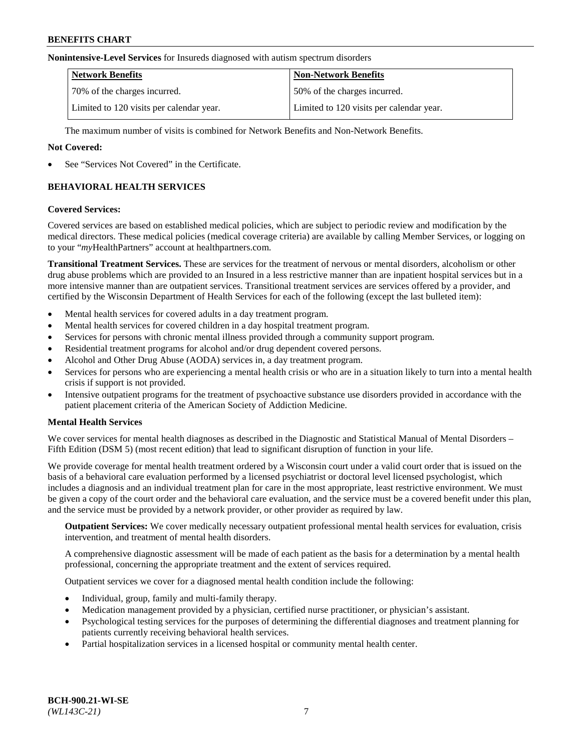#### **Nonintensive-Level Services** for Insureds diagnosed with autism spectrum disorders

| <b>Network Benefits</b>                  | <b>Non-Network Benefits</b>              |
|------------------------------------------|------------------------------------------|
| 70% of the charges incurred.             | 50% of the charges incurred.             |
| Limited to 120 visits per calendar year. | Limited to 120 visits per calendar year. |

The maximum number of visits is combined for Network Benefits and Non-Network Benefits.

### **Not Covered:**

See "Services Not Covered" in the Certificate.

# **BEHAVIORAL HEALTH SERVICES**

### **Covered Services:**

Covered services are based on established medical policies, which are subject to periodic review and modification by the medical directors. These medical policies (medical coverage criteria) are available by calling Member Services, or logging on to your "*my*HealthPartners" account at [healthpartners.com.](https://www.healthpartners.com/hp/index.html)

**Transitional Treatment Services.** These are services for the treatment of nervous or mental disorders, alcoholism or other drug abuse problems which are provided to an Insured in a less restrictive manner than are inpatient hospital services but in a more intensive manner than are outpatient services. Transitional treatment services are services offered by a provider, and certified by the Wisconsin Department of Health Services for each of the following (except the last bulleted item):

- Mental health services for covered adults in a day treatment program.
- Mental health services for covered children in a day hospital treatment program.
- Services for persons with chronic mental illness provided through a community support program.
- Residential treatment programs for alcohol and/or drug dependent covered persons.
- Alcohol and Other Drug Abuse (AODA) services in, a day treatment program.
- Services for persons who are experiencing a mental health crisis or who are in a situation likely to turn into a mental health crisis if support is not provided.
- Intensive outpatient programs for the treatment of psychoactive substance use disorders provided in accordance with the patient placement criteria of the American Society of Addiction Medicine.

# **Mental Health Services**

We cover services for mental health diagnoses as described in the Diagnostic and Statistical Manual of Mental Disorders – Fifth Edition (DSM 5) (most recent edition) that lead to significant disruption of function in your life.

We provide coverage for mental health treatment ordered by a Wisconsin court under a valid court order that is issued on the basis of a behavioral care evaluation performed by a licensed psychiatrist or doctoral level licensed psychologist, which includes a diagnosis and an individual treatment plan for care in the most appropriate, least restrictive environment. We must be given a copy of the court order and the behavioral care evaluation, and the service must be a covered benefit under this plan, and the service must be provided by a network provider, or other provider as required by law.

**Outpatient Services:** We cover medically necessary outpatient professional mental health services for evaluation, crisis intervention, and treatment of mental health disorders.

A comprehensive diagnostic assessment will be made of each patient as the basis for a determination by a mental health professional, concerning the appropriate treatment and the extent of services required.

Outpatient services we cover for a diagnosed mental health condition include the following:

- Individual, group, family and multi-family therapy.
- Medication management provided by a physician, certified nurse practitioner, or physician's assistant.
- Psychological testing services for the purposes of determining the differential diagnoses and treatment planning for patients currently receiving behavioral health services.
- Partial hospitalization services in a licensed hospital or community mental health center.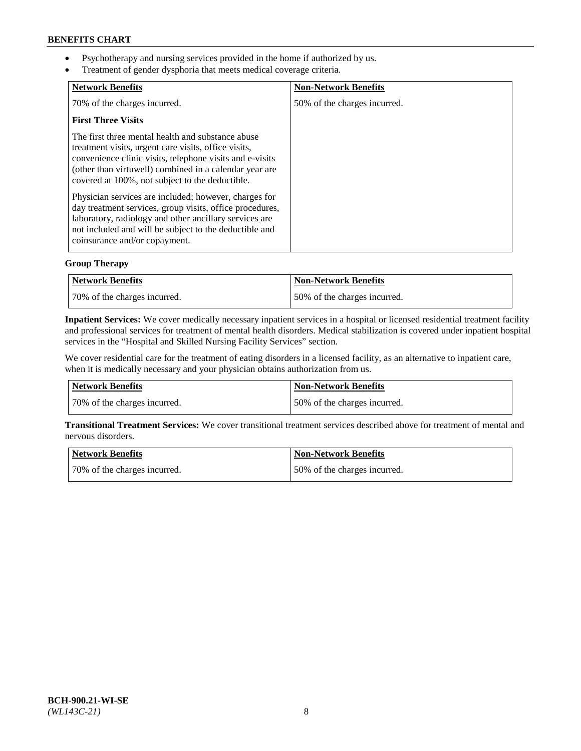- Psychotherapy and nursing services provided in the home if authorized by us.
- Treatment of gender dysphoria that meets medical coverage criteria.

| <b>Network Benefits</b>                                                                                                                                                                                                                                                            | <b>Non-Network Benefits</b>  |
|------------------------------------------------------------------------------------------------------------------------------------------------------------------------------------------------------------------------------------------------------------------------------------|------------------------------|
| 70% of the charges incurred.                                                                                                                                                                                                                                                       | 50% of the charges incurred. |
| <b>First Three Visits</b>                                                                                                                                                                                                                                                          |                              |
| The first three mental health and substance abuse<br>treatment visits, urgent care visits, office visits,<br>convenience clinic visits, telephone visits and e-visits<br>(other than virtuwell) combined in a calendar year are<br>covered at 100%, not subject to the deductible. |                              |
| Physician services are included; however, charges for<br>day treatment services, group visits, office procedures,<br>laboratory, radiology and other ancillary services are<br>not included and will be subject to the deductible and<br>coinsurance and/or copayment.             |                              |

# **Group Therapy**

| Network Benefits             | <b>Non-Network Benefits</b>  |
|------------------------------|------------------------------|
| 70% of the charges incurred. | 50% of the charges incurred. |

**Inpatient Services:** We cover medically necessary inpatient services in a hospital or licensed residential treatment facility and professional services for treatment of mental health disorders. Medical stabilization is covered under inpatient hospital services in the "Hospital and Skilled Nursing Facility Services" section.

We cover residential care for the treatment of eating disorders in a licensed facility, as an alternative to inpatient care, when it is medically necessary and your physician obtains authorization from us.

| Network Benefits             | <b>Non-Network Benefits</b>  |
|------------------------------|------------------------------|
| 70% of the charges incurred. | 50% of the charges incurred. |

**Transitional Treatment Services:** We cover transitional treatment services described above for treatment of mental and nervous disorders.

| Network Benefits             | Non-Network Benefits          |
|------------------------------|-------------------------------|
| 70% of the charges incurred. | 150% of the charges incurred. |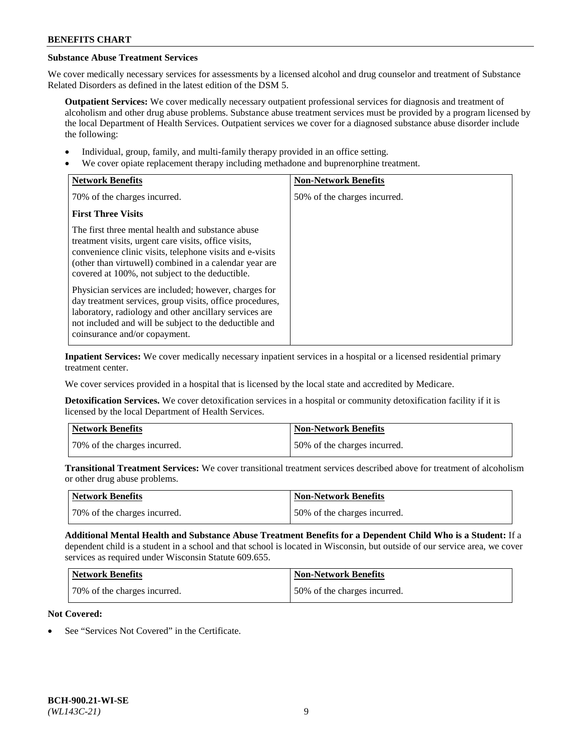# **Substance Abuse Treatment Services**

We cover medically necessary services for assessments by a licensed alcohol and drug counselor and treatment of Substance Related Disorders as defined in the latest edition of the DSM 5.

**Outpatient Services:** We cover medically necessary outpatient professional services for diagnosis and treatment of alcoholism and other drug abuse problems. Substance abuse treatment services must be provided by a program licensed by the local Department of Health Services. Outpatient services we cover for a diagnosed substance abuse disorder include the following:

- Individual, group, family, and multi-family therapy provided in an office setting.
- We cover opiate replacement therapy including methadone and buprenorphine treatment.

| <b>Network Benefits</b>                                                                                                                                                                                                                                                            | <b>Non-Network Benefits</b>  |
|------------------------------------------------------------------------------------------------------------------------------------------------------------------------------------------------------------------------------------------------------------------------------------|------------------------------|
| 70% of the charges incurred.                                                                                                                                                                                                                                                       | 50% of the charges incurred. |
| <b>First Three Visits</b>                                                                                                                                                                                                                                                          |                              |
| The first three mental health and substance abuse<br>treatment visits, urgent care visits, office visits,<br>convenience clinic visits, telephone visits and e-visits<br>(other than virtuwell) combined in a calendar year are<br>covered at 100%, not subject to the deductible. |                              |
| Physician services are included; however, charges for<br>day treatment services, group visits, office procedures,<br>laboratory, radiology and other ancillary services are<br>not included and will be subject to the deductible and<br>coinsurance and/or copayment.             |                              |

**Inpatient Services:** We cover medically necessary inpatient services in a hospital or a licensed residential primary treatment center.

We cover services provided in a hospital that is licensed by the local state and accredited by Medicare.

**Detoxification Services.** We cover detoxification services in a hospital or community detoxification facility if it is licensed by the local Department of Health Services.

| Network Benefits             | <b>Non-Network Benefits</b>  |
|------------------------------|------------------------------|
| 70% of the charges incurred. | 50% of the charges incurred. |

**Transitional Treatment Services:** We cover transitional treatment services described above for treatment of alcoholism or other drug abuse problems.

| <b>Network Benefits</b>      | Non-Network Benefits         |
|------------------------------|------------------------------|
| 70% of the charges incurred. | 50% of the charges incurred. |

**Additional Mental Health and Substance Abuse Treatment Benefits for a Dependent Child Who is a Student:** If a dependent child is a student in a school and that school is located in Wisconsin, but outside of our service area, we cover services as required under Wisconsin Statute 609.655.

| Network Benefits             | <b>Non-Network Benefits</b>  |
|------------------------------|------------------------------|
| 70% of the charges incurred. | 50% of the charges incurred. |

# **Not Covered:**

See "Services Not Covered" in the Certificate.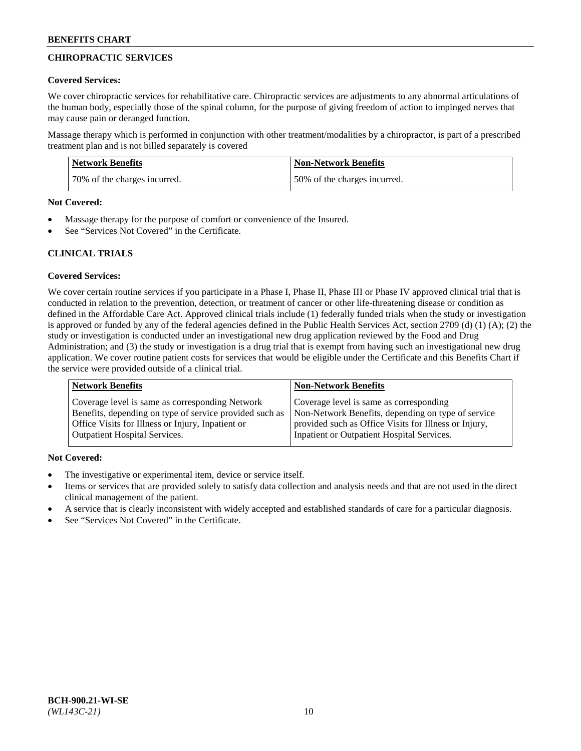# **CHIROPRACTIC SERVICES**

### **Covered Services:**

We cover chiropractic services for rehabilitative care. Chiropractic services are adjustments to any abnormal articulations of the human body, especially those of the spinal column, for the purpose of giving freedom of action to impinged nerves that may cause pain or deranged function.

Massage therapy which is performed in conjunction with other treatment/modalities by a chiropractor, is part of a prescribed treatment plan and is not billed separately is covered

| <b>Network Benefits</b>      | <b>Non-Network Benefits</b>  |
|------------------------------|------------------------------|
| 70% of the charges incurred. | 50% of the charges incurred. |

#### **Not Covered:**

- Massage therapy for the purpose of comfort or convenience of the Insured.
- See "Services Not Covered" in the Certificate.

# **CLINICAL TRIALS**

# **Covered Services:**

We cover certain routine services if you participate in a Phase I, Phase II, Phase III or Phase IV approved clinical trial that is conducted in relation to the prevention, detection, or treatment of cancer or other life-threatening disease or condition as defined in the Affordable Care Act. Approved clinical trials include (1) federally funded trials when the study or investigation is approved or funded by any of the federal agencies defined in the Public Health Services Act, section 2709 (d) (1) (A); (2) the study or investigation is conducted under an investigational new drug application reviewed by the Food and Drug Administration; and (3) the study or investigation is a drug trial that is exempt from having such an investigational new drug application. We cover routine patient costs for services that would be eligible under the Certificate and this Benefits Chart if the service were provided outside of a clinical trial.

| <b>Network Benefits</b>                                 | <b>Non-Network Benefits</b>                           |
|---------------------------------------------------------|-------------------------------------------------------|
| Coverage level is same as corresponding Network         | Coverage level is same as corresponding               |
| Benefits, depending on type of service provided such as | Non-Network Benefits, depending on type of service    |
| Office Visits for Illness or Injury, Inpatient or       | provided such as Office Visits for Illness or Injury, |
| <b>Outpatient Hospital Services.</b>                    | Inpatient or Outpatient Hospital Services.            |

# **Not Covered:**

- The investigative or experimental item, device or service itself.
- Items or services that are provided solely to satisfy data collection and analysis needs and that are not used in the direct clinical management of the patient.
- A service that is clearly inconsistent with widely accepted and established standards of care for a particular diagnosis.
- See "Services Not Covered" in the Certificate.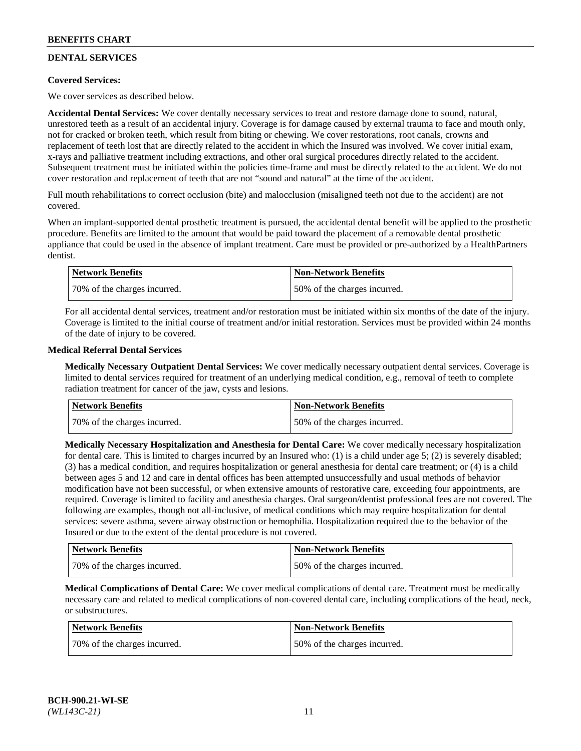# **DENTAL SERVICES**

# **Covered Services:**

We cover services as described below.

**Accidental Dental Services:** We cover dentally necessary services to treat and restore damage done to sound, natural, unrestored teeth as a result of an accidental injury. Coverage is for damage caused by external trauma to face and mouth only, not for cracked or broken teeth, which result from biting or chewing. We cover restorations, root canals, crowns and replacement of teeth lost that are directly related to the accident in which the Insured was involved. We cover initial exam, x-rays and palliative treatment including extractions, and other oral surgical procedures directly related to the accident. Subsequent treatment must be initiated within the policies time-frame and must be directly related to the accident. We do not cover restoration and replacement of teeth that are not "sound and natural" at the time of the accident.

Full mouth rehabilitations to correct occlusion (bite) and malocclusion (misaligned teeth not due to the accident) are not covered.

When an implant-supported dental prosthetic treatment is pursued, the accidental dental benefit will be applied to the prosthetic procedure. Benefits are limited to the amount that would be paid toward the placement of a removable dental prosthetic appliance that could be used in the absence of implant treatment. Care must be provided or pre-authorized by a HealthPartners dentist.

| Network Benefits             | <b>Non-Network Benefits</b>  |
|------------------------------|------------------------------|
| 70% of the charges incurred. | 50% of the charges incurred. |

For all accidental dental services, treatment and/or restoration must be initiated within six months of the date of the injury. Coverage is limited to the initial course of treatment and/or initial restoration. Services must be provided within 24 months of the date of injury to be covered.

### **Medical Referral Dental Services**

**Medically Necessary Outpatient Dental Services:** We cover medically necessary outpatient dental services. Coverage is limited to dental services required for treatment of an underlying medical condition, e.g., removal of teeth to complete radiation treatment for cancer of the jaw, cysts and lesions.

| <b>Network Benefits</b>      | <b>Non-Network Benefits</b>  |
|------------------------------|------------------------------|
| 70% of the charges incurred. | 50% of the charges incurred. |

**Medically Necessary Hospitalization and Anesthesia for Dental Care:** We cover medically necessary hospitalization for dental care. This is limited to charges incurred by an Insured who: (1) is a child under age  $5$ ; (2) is severely disabled; (3) has a medical condition, and requires hospitalization or general anesthesia for dental care treatment; or (4) is a child between ages 5 and 12 and care in dental offices has been attempted unsuccessfully and usual methods of behavior modification have not been successful, or when extensive amounts of restorative care, exceeding four appointments, are required. Coverage is limited to facility and anesthesia charges. Oral surgeon/dentist professional fees are not covered. The following are examples, though not all-inclusive, of medical conditions which may require hospitalization for dental services: severe asthma, severe airway obstruction or hemophilia. Hospitalization required due to the behavior of the Insured or due to the extent of the dental procedure is not covered.

| Network Benefits             | <b>Non-Network Benefits</b>  |
|------------------------------|------------------------------|
| 70% of the charges incurred. | 50% of the charges incurred. |

**Medical Complications of Dental Care:** We cover medical complications of dental care. Treatment must be medically necessary care and related to medical complications of non-covered dental care, including complications of the head, neck, or substructures.

| Network Benefits             | Non-Network Benefits         |
|------------------------------|------------------------------|
| 70% of the charges incurred. | 50% of the charges incurred. |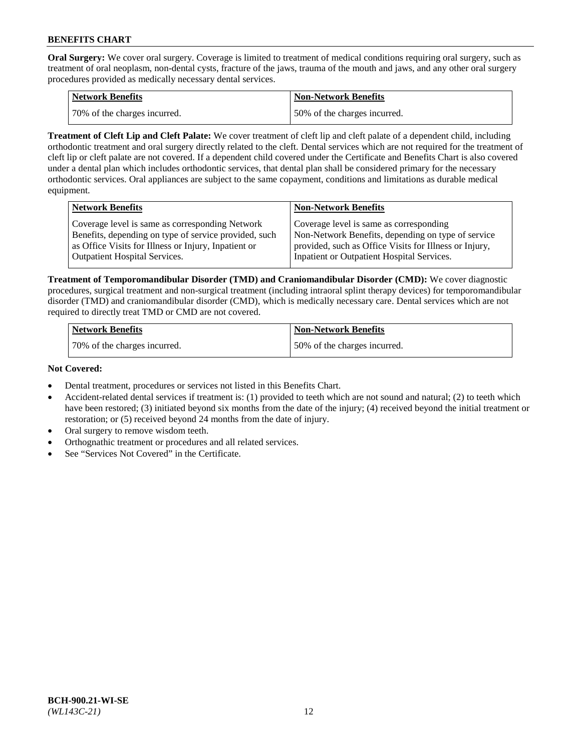**Oral Surgery:** We cover oral surgery. Coverage is limited to treatment of medical conditions requiring oral surgery, such as treatment of oral neoplasm, non-dental cysts, fracture of the jaws, trauma of the mouth and jaws, and any other oral surgery procedures provided as medically necessary dental services.

| <b>Network Benefits</b>       | <b>Non-Network Benefits</b>  |
|-------------------------------|------------------------------|
| 170% of the charges incurred. | 50% of the charges incurred. |

**Treatment of Cleft Lip and Cleft Palate:** We cover treatment of cleft lip and cleft palate of a dependent child, including orthodontic treatment and oral surgery directly related to the cleft. Dental services which are not required for the treatment of cleft lip or cleft palate are not covered. If a dependent child covered under the Certificate and Benefits Chart is also covered under a dental plan which includes orthodontic services, that dental plan shall be considered primary for the necessary orthodontic services. Oral appliances are subject to the same copayment, conditions and limitations as durable medical equipment.

| <b>Network Benefits</b>                               | <b>Non-Network Benefits</b>                            |
|-------------------------------------------------------|--------------------------------------------------------|
| Coverage level is same as corresponding Network       | Coverage level is same as corresponding                |
| Benefits, depending on type of service provided, such | Non-Network Benefits, depending on type of service     |
| as Office Visits for Illness or Injury, Inpatient or  | provided, such as Office Visits for Illness or Injury, |
| Outpatient Hospital Services.                         | Inpatient or Outpatient Hospital Services.             |

**Treatment of Temporomandibular Disorder (TMD) and Craniomandibular Disorder (CMD):** We cover diagnostic procedures, surgical treatment and non-surgical treatment (including intraoral splint therapy devices) for temporomandibular disorder (TMD) and craniomandibular disorder (CMD), which is medically necessary care. Dental services which are not required to directly treat TMD or CMD are not covered.

| <b>Network Benefits</b>      | <b>Non-Network Benefits</b>  |
|------------------------------|------------------------------|
| 70% of the charges incurred. | 50% of the charges incurred. |

### **Not Covered:**

- Dental treatment, procedures or services not listed in this Benefits Chart.
- Accident-related dental services if treatment is: (1) provided to teeth which are not sound and natural; (2) to teeth which have been restored; (3) initiated beyond six months from the date of the injury; (4) received beyond the initial treatment or restoration; or (5) received beyond 24 months from the date of injury.
- Oral surgery to remove wisdom teeth.
- Orthognathic treatment or procedures and all related services.
- See "Services Not Covered" in the Certificate.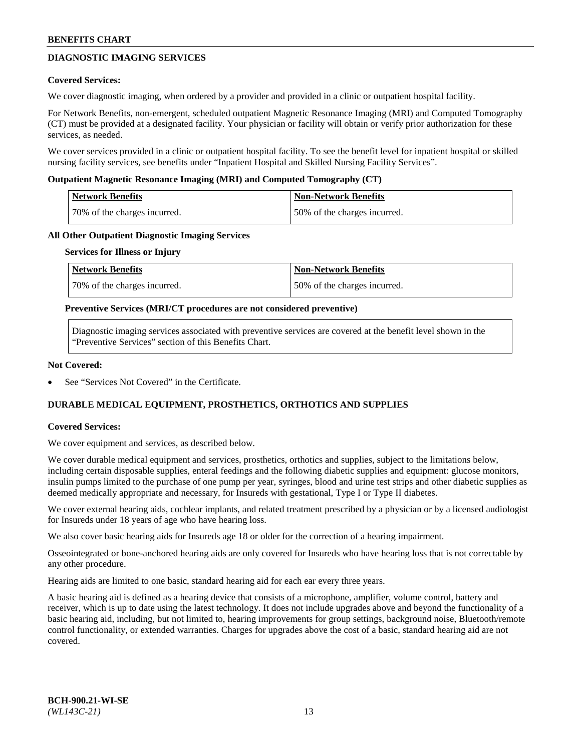# **DIAGNOSTIC IMAGING SERVICES**

### **Covered Services:**

We cover diagnostic imaging, when ordered by a provider and provided in a clinic or outpatient hospital facility.

For Network Benefits, non-emergent, scheduled outpatient Magnetic Resonance Imaging (MRI) and Computed Tomography (CT) must be provided at a designated facility. Your physician or facility will obtain or verify prior authorization for these services, as needed.

We cover services provided in a clinic or outpatient hospital facility. To see the benefit level for inpatient hospital or skilled nursing facility services, see benefits under "Inpatient Hospital and Skilled Nursing Facility Services".

### **Outpatient Magnetic Resonance Imaging (MRI) and Computed Tomography (CT)**

| <b>Network Benefits</b>      | <b>Non-Network Benefits</b>  |
|------------------------------|------------------------------|
| 70% of the charges incurred. | 50% of the charges incurred. |

### **All Other Outpatient Diagnostic Imaging Services**

#### **Services for Illness or Injury**

| Network Benefits             | <b>Non-Network Benefits</b>  |
|------------------------------|------------------------------|
| 70% of the charges incurred. | 50% of the charges incurred. |

### **Preventive Services (MRI/CT procedures are not considered preventive)**

Diagnostic imaging services associated with preventive services are covered at the benefit level shown in the "Preventive Services" section of this Benefits Chart.

### **Not Covered:**

See "Services Not Covered" in the Certificate.

# **DURABLE MEDICAL EQUIPMENT, PROSTHETICS, ORTHOTICS AND SUPPLIES**

#### **Covered Services:**

We cover equipment and services, as described below.

We cover durable medical equipment and services, prosthetics, orthotics and supplies, subject to the limitations below, including certain disposable supplies, enteral feedings and the following diabetic supplies and equipment: glucose monitors, insulin pumps limited to the purchase of one pump per year, syringes, blood and urine test strips and other diabetic supplies as deemed medically appropriate and necessary, for Insureds with gestational, Type I or Type II diabetes.

We cover external hearing aids, cochlear implants, and related treatment prescribed by a physician or by a licensed audiologist for Insureds under 18 years of age who have hearing loss.

We also cover basic hearing aids for Insureds age 18 or older for the correction of a hearing impairment.

Osseointegrated or bone-anchored hearing aids are only covered for Insureds who have hearing loss that is not correctable by any other procedure.

Hearing aids are limited to one basic, standard hearing aid for each ear every three years.

A basic hearing aid is defined as a hearing device that consists of a microphone, amplifier, volume control, battery and receiver, which is up to date using the latest technology. It does not include upgrades above and beyond the functionality of a basic hearing aid, including, but not limited to, hearing improvements for group settings, background noise, Bluetooth/remote control functionality, or extended warranties. Charges for upgrades above the cost of a basic, standard hearing aid are not covered.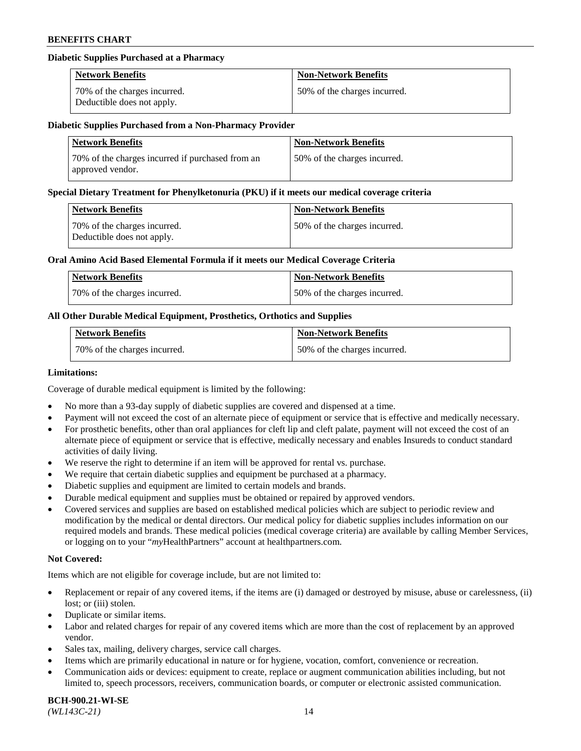### **Diabetic Supplies Purchased at a Pharmacy**

| <b>Network Benefits</b>                                    | <b>Non-Network Benefits</b>  |
|------------------------------------------------------------|------------------------------|
| 70% of the charges incurred.<br>Deductible does not apply. | 50% of the charges incurred. |

#### **Diabetic Supplies Purchased from a Non-Pharmacy Provider**

| <b>Network Benefits</b>                                              | <b>Non-Network Benefits</b>  |
|----------------------------------------------------------------------|------------------------------|
| 70% of the charges incurred if purchased from an<br>approved vendor. | 50% of the charges incurred. |

#### **Special Dietary Treatment for Phenylketonuria (PKU) if it meets our medical coverage criteria**

| Network Benefits                                           | <b>Non-Network Benefits</b>  |
|------------------------------------------------------------|------------------------------|
| 70% of the charges incurred.<br>Deductible does not apply. | 50% of the charges incurred. |

### **Oral Amino Acid Based Elemental Formula if it meets our Medical Coverage Criteria**

| Network Benefits             | <b>Non-Network Benefits</b>  |
|------------------------------|------------------------------|
| 70% of the charges incurred. | 50% of the charges incurred. |

# **All Other Durable Medical Equipment, Prosthetics, Orthotics and Supplies**

| <b>Network Benefits</b>      | <b>Non-Network Benefits</b>  |
|------------------------------|------------------------------|
| 70% of the charges incurred. | 50% of the charges incurred. |

#### **Limitations:**

Coverage of durable medical equipment is limited by the following:

- No more than a 93-day supply of diabetic supplies are covered and dispensed at a time.
- Payment will not exceed the cost of an alternate piece of equipment or service that is effective and medically necessary.
- For prosthetic benefits, other than oral appliances for cleft lip and cleft palate, payment will not exceed the cost of an alternate piece of equipment or service that is effective, medically necessary and enables Insureds to conduct standard
- activities of daily living. We reserve the right to determine if an item will be approved for rental vs. purchase.
- We require that certain diabetic supplies and equipment be purchased at a pharmacy.
- Diabetic supplies and equipment are limited to certain models and brands.
- Durable medical equipment and supplies must be obtained or repaired by approved vendors.
- Covered services and supplies are based on established medical policies which are subject to periodic review and modification by the medical or dental directors. Our medical policy for diabetic supplies includes information on our required models and brands. These medical policies (medical coverage criteria) are available by calling Member Services, or logging on to your "*my*HealthPartners" account a[t healthpartners.com.](https://www.healthpartners.com/hp/index.html)

# **Not Covered:**

Items which are not eligible for coverage include, but are not limited to:

- Replacement or repair of any covered items, if the items are (i) damaged or destroyed by misuse, abuse or carelessness, (ii) lost; or (iii) stolen.
- Duplicate or similar items.
- Labor and related charges for repair of any covered items which are more than the cost of replacement by an approved vendor.
- Sales tax, mailing, delivery charges, service call charges.
- Items which are primarily educational in nature or for hygiene, vocation, comfort, convenience or recreation.
- Communication aids or devices: equipment to create, replace or augment communication abilities including, but not limited to, speech processors, receivers, communication boards, or computer or electronic assisted communication.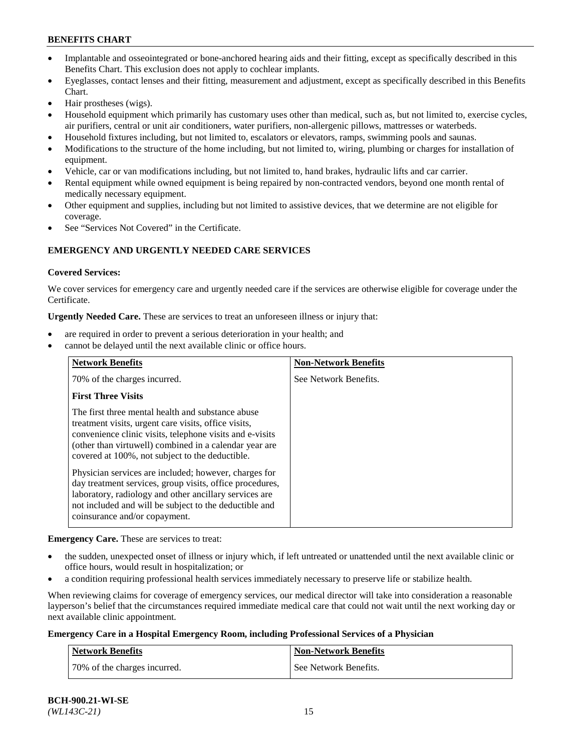- Implantable and osseointegrated or bone-anchored hearing aids and their fitting, except as specifically described in this Benefits Chart. This exclusion does not apply to cochlear implants.
- Eyeglasses, contact lenses and their fitting, measurement and adjustment, except as specifically described in this Benefits Chart.
- Hair prostheses (wigs).
- Household equipment which primarily has customary uses other than medical, such as, but not limited to, exercise cycles, air purifiers, central or unit air conditioners, water purifiers, non-allergenic pillows, mattresses or waterbeds.
- Household fixtures including, but not limited to, escalators or elevators, ramps, swimming pools and saunas.
- Modifications to the structure of the home including, but not limited to, wiring, plumbing or charges for installation of equipment.
- Vehicle, car or van modifications including, but not limited to, hand brakes, hydraulic lifts and car carrier.
- Rental equipment while owned equipment is being repaired by non-contracted vendors, beyond one month rental of medically necessary equipment.
- Other equipment and supplies, including but not limited to assistive devices, that we determine are not eligible for coverage.
- See "Services Not Covered" in the Certificate.

# **EMERGENCY AND URGENTLY NEEDED CARE SERVICES**

### **Covered Services:**

We cover services for emergency care and urgently needed care if the services are otherwise eligible for coverage under the Certificate.

**Urgently Needed Care.** These are services to treat an unforeseen illness or injury that:

- are required in order to prevent a serious deterioration in your health; and
- cannot be delayed until the next available clinic or office hours.

| <b>Network Benefits</b>                                                                                                                                                                                                                                                            | <b>Non-Network Benefits</b> |
|------------------------------------------------------------------------------------------------------------------------------------------------------------------------------------------------------------------------------------------------------------------------------------|-----------------------------|
| 70% of the charges incurred.                                                                                                                                                                                                                                                       | See Network Benefits.       |
| <b>First Three Visits</b>                                                                                                                                                                                                                                                          |                             |
| The first three mental health and substance abuse<br>treatment visits, urgent care visits, office visits,<br>convenience clinic visits, telephone visits and e-visits<br>(other than virtuwell) combined in a calendar year are<br>covered at 100%, not subject to the deductible. |                             |
| Physician services are included; however, charges for<br>day treatment services, group visits, office procedures,<br>laboratory, radiology and other ancillary services are<br>not included and will be subject to the deductible and<br>coinsurance and/or copayment.             |                             |

**Emergency Care.** These are services to treat:

- the sudden, unexpected onset of illness or injury which, if left untreated or unattended until the next available clinic or office hours, would result in hospitalization; or
- a condition requiring professional health services immediately necessary to preserve life or stabilize health.

When reviewing claims for coverage of emergency services, our medical director will take into consideration a reasonable layperson's belief that the circumstances required immediate medical care that could not wait until the next working day or next available clinic appointment.

#### **Emergency Care in a Hospital Emergency Room, including Professional Services of a Physician**

| <b>Network Benefits</b>      | Non-Network Benefits  |
|------------------------------|-----------------------|
| 70% of the charges incurred. | See Network Benefits. |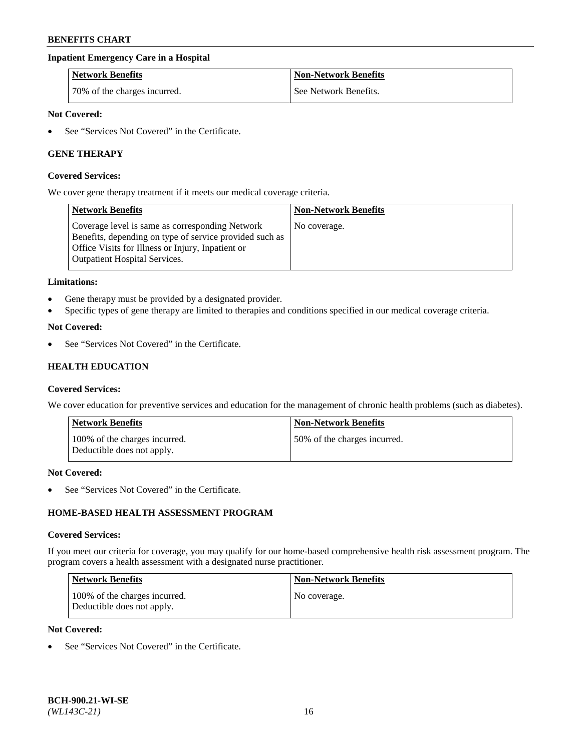# **Inpatient Emergency Care in a Hospital**

| <b>Network Benefits</b>      | <b>Non-Network Benefits</b> |
|------------------------------|-----------------------------|
| 70% of the charges incurred. | See Network Benefits.       |

### **Not Covered:**

See "Services Not Covered" in the Certificate.

# **GENE THERAPY**

#### **Covered Services:**

We cover gene therapy treatment if it meets our medical coverage criteria.

| <b>Network Benefits</b>                                                                                                                                                                                 | <b>Non-Network Benefits</b> |
|---------------------------------------------------------------------------------------------------------------------------------------------------------------------------------------------------------|-----------------------------|
| Coverage level is same as corresponding Network<br>Benefits, depending on type of service provided such as<br>Office Visits for Illness or Injury, Inpatient or<br><b>Outpatient Hospital Services.</b> | No coverage.                |

#### **Limitations:**

- Gene therapy must be provided by a designated provider.
- Specific types of gene therapy are limited to therapies and conditions specified in our medical coverage criteria.

### **Not Covered:**

See "Services Not Covered" in the Certificate.

# **HEALTH EDUCATION**

#### **Covered Services:**

We cover education for preventive services and education for the management of chronic health problems (such as diabetes).

| <b>Network Benefits</b>                                     | <b>Non-Network Benefits</b>  |
|-------------------------------------------------------------|------------------------------|
| 100% of the charges incurred.<br>Deductible does not apply. | 50% of the charges incurred. |

#### **Not Covered:**

See "Services Not Covered" in the Certificate.

# **HOME-BASED HEALTH ASSESSMENT PROGRAM**

#### **Covered Services:**

If you meet our criteria for coverage, you may qualify for our home-based comprehensive health risk assessment program. The program covers a health assessment with a designated nurse practitioner.

| Network Benefits                                            | <b>Non-Network Benefits</b> |
|-------------------------------------------------------------|-----------------------------|
| 100% of the charges incurred.<br>Deductible does not apply. | No coverage.                |

# **Not Covered:**

• See "Services Not Covered" in the Certificate.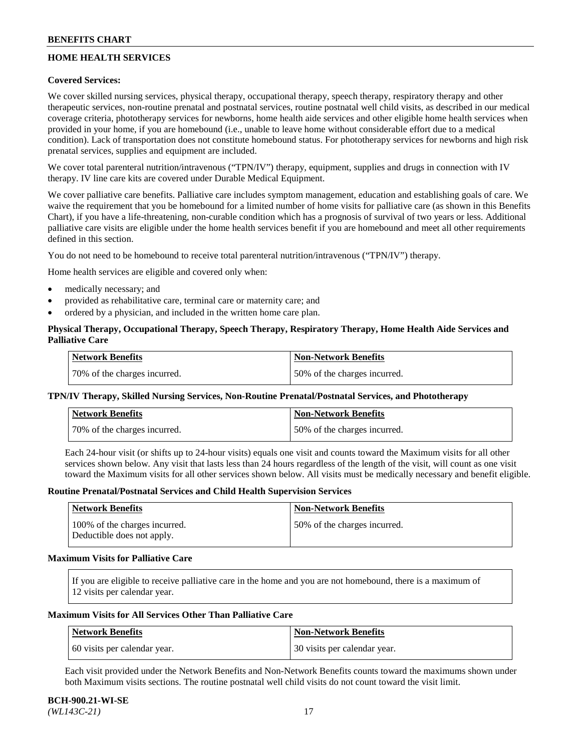# **HOME HEALTH SERVICES**

# **Covered Services:**

We cover skilled nursing services, physical therapy, occupational therapy, speech therapy, respiratory therapy and other therapeutic services, non-routine prenatal and postnatal services, routine postnatal well child visits, as described in our medical coverage criteria, phototherapy services for newborns, home health aide services and other eligible home health services when provided in your home, if you are homebound (i.e., unable to leave home without considerable effort due to a medical condition). Lack of transportation does not constitute homebound status. For phototherapy services for newborns and high risk prenatal services, supplies and equipment are included.

We cover total parenteral nutrition/intravenous ("TPN/IV") therapy, equipment, supplies and drugs in connection with IV therapy. IV line care kits are covered under Durable Medical Equipment.

We cover palliative care benefits. Palliative care includes symptom management, education and establishing goals of care. We waive the requirement that you be homebound for a limited number of home visits for palliative care (as shown in this Benefits Chart), if you have a life-threatening, non-curable condition which has a prognosis of survival of two years or less. Additional palliative care visits are eligible under the home health services benefit if you are homebound and meet all other requirements defined in this section.

You do not need to be homebound to receive total parenteral nutrition/intravenous ("TPN/IV") therapy.

Home health services are eligible and covered only when:

- medically necessary; and
- provided as rehabilitative care, terminal care or maternity care; and
- ordered by a physician, and included in the written home care plan.

# **Physical Therapy, Occupational Therapy, Speech Therapy, Respiratory Therapy, Home Health Aide Services and Palliative Care**

| Network Benefits             | <b>Non-Network Benefits</b>  |
|------------------------------|------------------------------|
| 70% of the charges incurred. | 50% of the charges incurred. |

# **TPN/IV Therapy, Skilled Nursing Services, Non-Routine Prenatal/Postnatal Services, and Phototherapy**

| Network Benefits             | <b>Non-Network Benefits</b>  |
|------------------------------|------------------------------|
| 70% of the charges incurred. | 50% of the charges incurred. |

Each 24-hour visit (or shifts up to 24-hour visits) equals one visit and counts toward the Maximum visits for all other services shown below. Any visit that lasts less than 24 hours regardless of the length of the visit, will count as one visit toward the Maximum visits for all other services shown below. All visits must be medically necessary and benefit eligible.

#### **Routine Prenatal/Postnatal Services and Child Health Supervision Services**

| Network Benefits                                            | <b>Non-Network Benefits</b>  |
|-------------------------------------------------------------|------------------------------|
| 100% of the charges incurred.<br>Deductible does not apply. | 50% of the charges incurred. |

### **Maximum Visits for Palliative Care**

If you are eligible to receive palliative care in the home and you are not homebound, there is a maximum of 12 visits per calendar year.

### **Maximum Visits for All Services Other Than Palliative Care**

| Network Benefits             | Non-Network Benefits         |
|------------------------------|------------------------------|
| 60 visits per calendar year. | 30 visits per calendar year. |

Each visit provided under the Network Benefits and Non-Network Benefits counts toward the maximums shown under both Maximum visits sections. The routine postnatal well child visits do not count toward the visit limit.

#### **BCH-900.21-WI-SE**  *(WL143C-21)* 17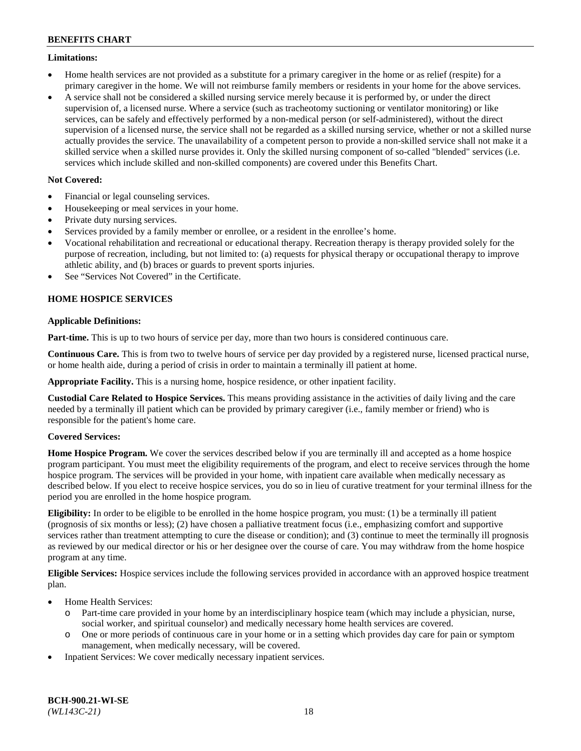### **Limitations:**

- Home health services are not provided as a substitute for a primary caregiver in the home or as relief (respite) for a primary caregiver in the home. We will not reimburse family members or residents in your home for the above services.
- A service shall not be considered a skilled nursing service merely because it is performed by, or under the direct supervision of, a licensed nurse. Where a service (such as tracheotomy suctioning or ventilator monitoring) or like services, can be safely and effectively performed by a non-medical person (or self-administered), without the direct supervision of a licensed nurse, the service shall not be regarded as a skilled nursing service, whether or not a skilled nurse actually provides the service. The unavailability of a competent person to provide a non-skilled service shall not make it a skilled service when a skilled nurse provides it. Only the skilled nursing component of so-called "blended" services (i.e. services which include skilled and non-skilled components) are covered under this Benefits Chart.

# **Not Covered:**

- Financial or legal counseling services.
- Housekeeping or meal services in your home.
- Private duty nursing services.
- Services provided by a family member or enrollee, or a resident in the enrollee's home.
- Vocational rehabilitation and recreational or educational therapy. Recreation therapy is therapy provided solely for the purpose of recreation, including, but not limited to: (a) requests for physical therapy or occupational therapy to improve athletic ability, and (b) braces or guards to prevent sports injuries.
- See "Services Not Covered" in the Certificate.

# **HOME HOSPICE SERVICES**

# **Applicable Definitions:**

**Part-time.** This is up to two hours of service per day, more than two hours is considered continuous care.

**Continuous Care.** This is from two to twelve hours of service per day provided by a registered nurse, licensed practical nurse, or home health aide, during a period of crisis in order to maintain a terminally ill patient at home.

**Appropriate Facility.** This is a nursing home, hospice residence, or other inpatient facility.

**Custodial Care Related to Hospice Services.** This means providing assistance in the activities of daily living and the care needed by a terminally ill patient which can be provided by primary caregiver (i.e., family member or friend) who is responsible for the patient's home care.

# **Covered Services:**

**Home Hospice Program.** We cover the services described below if you are terminally ill and accepted as a home hospice program participant. You must meet the eligibility requirements of the program, and elect to receive services through the home hospice program. The services will be provided in your home, with inpatient care available when medically necessary as described below. If you elect to receive hospice services, you do so in lieu of curative treatment for your terminal illness for the period you are enrolled in the home hospice program.

**Eligibility:** In order to be eligible to be enrolled in the home hospice program, you must: (1) be a terminally ill patient (prognosis of six months or less); (2) have chosen a palliative treatment focus (i.e., emphasizing comfort and supportive services rather than treatment attempting to cure the disease or condition); and (3) continue to meet the terminally ill prognosis as reviewed by our medical director or his or her designee over the course of care. You may withdraw from the home hospice program at any time.

**Eligible Services:** Hospice services include the following services provided in accordance with an approved hospice treatment plan.

- Home Health Services:
	- o Part-time care provided in your home by an interdisciplinary hospice team (which may include a physician, nurse, social worker, and spiritual counselor) and medically necessary home health services are covered.
	- o One or more periods of continuous care in your home or in a setting which provides day care for pain or symptom management, when medically necessary, will be covered.
- Inpatient Services: We cover medically necessary inpatient services.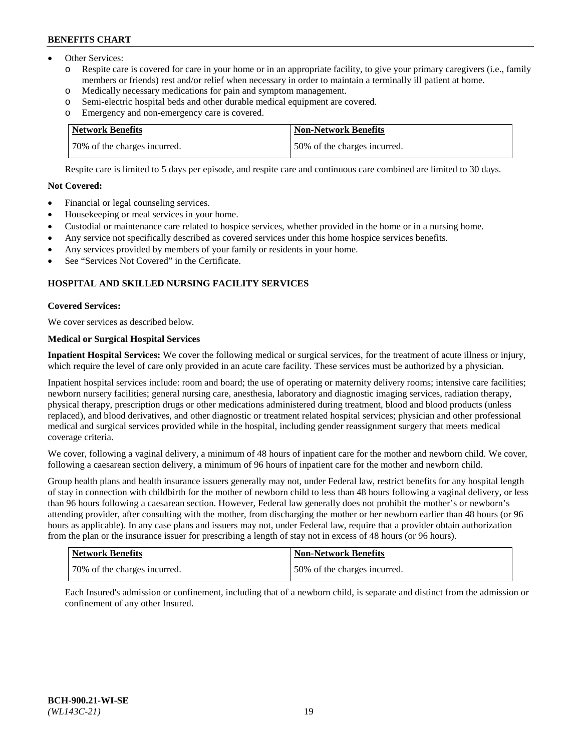- Other Services:
	- Respite care is covered for care in your home or in an appropriate facility, to give your primary caregivers (i.e., family members or friends) rest and/or relief when necessary in order to maintain a terminally ill patient at home.
	- o Medically necessary medications for pain and symptom management.
	- o Semi-electric hospital beds and other durable medical equipment are covered.
	- Emergency and non-emergency care is covered.

| Network Benefits             | Non-Network Benefits         |
|------------------------------|------------------------------|
| 70% of the charges incurred. | 50% of the charges incurred. |

Respite care is limited to 5 days per episode, and respite care and continuous care combined are limited to 30 days.

# **Not Covered:**

- Financial or legal counseling services.
- Housekeeping or meal services in your home.
- Custodial or maintenance care related to hospice services, whether provided in the home or in a nursing home.
- Any service not specifically described as covered services under this home hospice services benefits.
- Any services provided by members of your family or residents in your home.
- See "Services Not Covered" in the Certificate.

# **HOSPITAL AND SKILLED NURSING FACILITY SERVICES**

# **Covered Services:**

We cover services as described below.

# **Medical or Surgical Hospital Services**

**Inpatient Hospital Services:** We cover the following medical or surgical services, for the treatment of acute illness or injury, which require the level of care only provided in an acute care facility. These services must be authorized by a physician.

Inpatient hospital services include: room and board; the use of operating or maternity delivery rooms; intensive care facilities; newborn nursery facilities; general nursing care, anesthesia, laboratory and diagnostic imaging services, radiation therapy, physical therapy, prescription drugs or other medications administered during treatment, blood and blood products (unless replaced), and blood derivatives, and other diagnostic or treatment related hospital services; physician and other professional medical and surgical services provided while in the hospital, including gender reassignment surgery that meets medical coverage criteria.

We cover, following a vaginal delivery, a minimum of 48 hours of inpatient care for the mother and newborn child. We cover, following a caesarean section delivery, a minimum of 96 hours of inpatient care for the mother and newborn child.

Group health plans and health insurance issuers generally may not, under Federal law, restrict benefits for any hospital length of stay in connection with childbirth for the mother of newborn child to less than 48 hours following a vaginal delivery, or less than 96 hours following a caesarean section. However, Federal law generally does not prohibit the mother's or newborn's attending provider, after consulting with the mother, from discharging the mother or her newborn earlier than 48 hours (or 96 hours as applicable). In any case plans and issuers may not, under Federal law, require that a provider obtain authorization from the plan or the insurance issuer for prescribing a length of stay not in excess of 48 hours (or 96 hours).

| Network Benefits             | Non-Network Benefits         |
|------------------------------|------------------------------|
| 70% of the charges incurred. | 50% of the charges incurred. |

Each Insured's admission or confinement, including that of a newborn child, is separate and distinct from the admission or confinement of any other Insured.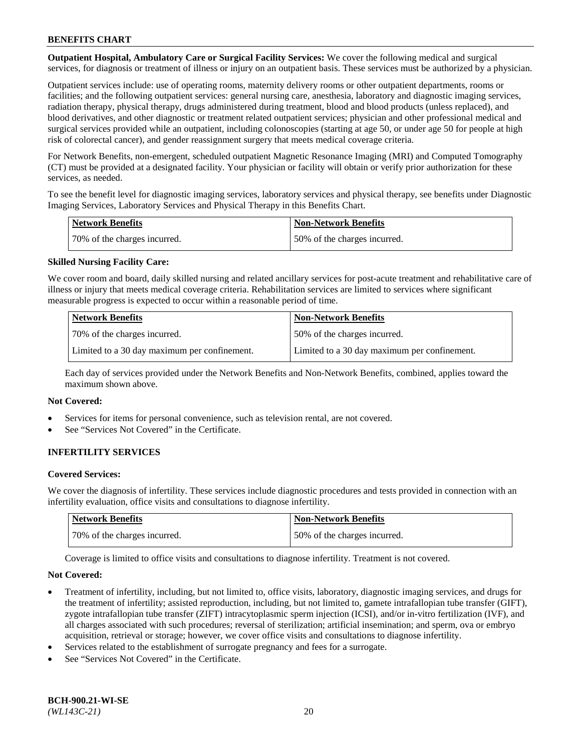**Outpatient Hospital, Ambulatory Care or Surgical Facility Services:** We cover the following medical and surgical services, for diagnosis or treatment of illness or injury on an outpatient basis. These services must be authorized by a physician.

Outpatient services include: use of operating rooms, maternity delivery rooms or other outpatient departments, rooms or facilities; and the following outpatient services: general nursing care, anesthesia, laboratory and diagnostic imaging services, radiation therapy, physical therapy, drugs administered during treatment, blood and blood products (unless replaced), and blood derivatives, and other diagnostic or treatment related outpatient services; physician and other professional medical and surgical services provided while an outpatient, including colonoscopies (starting at age 50, or under age 50 for people at high risk of colorectal cancer), and gender reassignment surgery that meets medical coverage criteria.

For Network Benefits, non-emergent, scheduled outpatient Magnetic Resonance Imaging (MRI) and Computed Tomography (CT) must be provided at a designated facility. Your physician or facility will obtain or verify prior authorization for these services, as needed.

To see the benefit level for diagnostic imaging services, laboratory services and physical therapy, see benefits under Diagnostic Imaging Services, Laboratory Services and Physical Therapy in this Benefits Chart.

| <b>Network Benefits</b>      | <b>Non-Network Benefits</b>  |
|------------------------------|------------------------------|
| 70% of the charges incurred. | 50% of the charges incurred. |

# **Skilled Nursing Facility Care:**

We cover room and board, daily skilled nursing and related ancillary services for post-acute treatment and rehabilitative care of illness or injury that meets medical coverage criteria. Rehabilitation services are limited to services where significant measurable progress is expected to occur within a reasonable period of time.

| <b>Network Benefits</b>                      | <b>Non-Network Benefits</b>                  |
|----------------------------------------------|----------------------------------------------|
| 70\% of the charges incurred.                | 150% of the charges incurred.                |
| Limited to a 30 day maximum per confinement. | Limited to a 30 day maximum per confinement. |

Each day of services provided under the Network Benefits and Non-Network Benefits, combined, applies toward the maximum shown above.

### **Not Covered:**

- Services for items for personal convenience, such as television rental, are not covered.
- See "Services Not Covered" in the Certificate.

# **INFERTILITY SERVICES**

#### **Covered Services:**

We cover the diagnosis of infertility. These services include diagnostic procedures and tests provided in connection with an infertility evaluation, office visits and consultations to diagnose infertility.

| Network Benefits             | <b>Non-Network Benefits</b>  |
|------------------------------|------------------------------|
| 70% of the charges incurred. | 50% of the charges incurred. |

Coverage is limited to office visits and consultations to diagnose infertility. Treatment is not covered.

#### **Not Covered:**

- Treatment of infertility, including, but not limited to, office visits, laboratory, diagnostic imaging services, and drugs for the treatment of infertility; assisted reproduction, including, but not limited to, gamete intrafallopian tube transfer (GIFT), zygote intrafallopian tube transfer (ZIFT) intracytoplasmic sperm injection (ICSI), and/or in-vitro fertilization (IVF), and all charges associated with such procedures; reversal of sterilization; artificial insemination; and sperm, ova or embryo acquisition, retrieval or storage; however, we cover office visits and consultations to diagnose infertility.
- Services related to the establishment of surrogate pregnancy and fees for a surrogate.
- See "Services Not Covered" in the Certificate.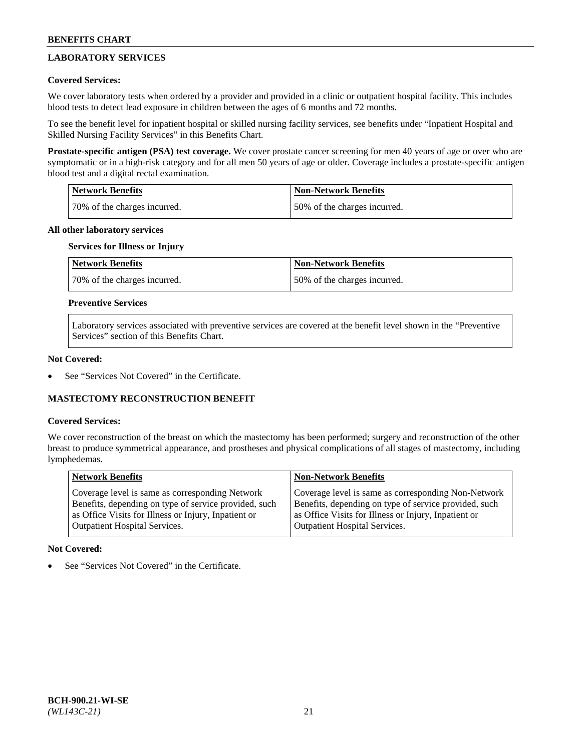# **LABORATORY SERVICES**

# **Covered Services:**

We cover laboratory tests when ordered by a provider and provided in a clinic or outpatient hospital facility. This includes blood tests to detect lead exposure in children between the ages of 6 months and 72 months.

To see the benefit level for inpatient hospital or skilled nursing facility services, see benefits under "Inpatient Hospital and Skilled Nursing Facility Services" in this Benefits Chart.

**Prostate-specific antigen (PSA) test coverage.** We cover prostate cancer screening for men 40 years of age or over who are symptomatic or in a high-risk category and for all men 50 years of age or older. Coverage includes a prostate-specific antigen blood test and a digital rectal examination.

| Network Benefits             | <b>Non-Network Benefits</b>  |
|------------------------------|------------------------------|
| 70% of the charges incurred. | 50% of the charges incurred. |

### **All other laboratory services**

# **Services for Illness or Injury**

| <b>Network Benefits</b>      | Non-Network Benefits         |
|------------------------------|------------------------------|
| 70% of the charges incurred. | 50% of the charges incurred. |

### **Preventive Services**

Laboratory services associated with preventive services are covered at the benefit level shown in the "Preventive Services" section of this Benefits Chart.

### **Not Covered:**

See "Services Not Covered" in the Certificate.

# **MASTECTOMY RECONSTRUCTION BENEFIT**

#### **Covered Services:**

We cover reconstruction of the breast on which the mastectomy has been performed; surgery and reconstruction of the other breast to produce symmetrical appearance, and prostheses and physical complications of all stages of mastectomy, including lymphedemas.

| <b>Network Benefits</b>                               | <b>Non-Network Benefits</b>                           |
|-------------------------------------------------------|-------------------------------------------------------|
| Coverage level is same as corresponding Network       | Coverage level is same as corresponding Non-Network   |
| Benefits, depending on type of service provided, such | Benefits, depending on type of service provided, such |
| as Office Visits for Illness or Injury, Inpatient or  | as Office Visits for Illness or Injury, Inpatient or  |
| <b>Outpatient Hospital Services.</b>                  | Outpatient Hospital Services.                         |

# **Not Covered:**

See "Services Not Covered" in the Certificate.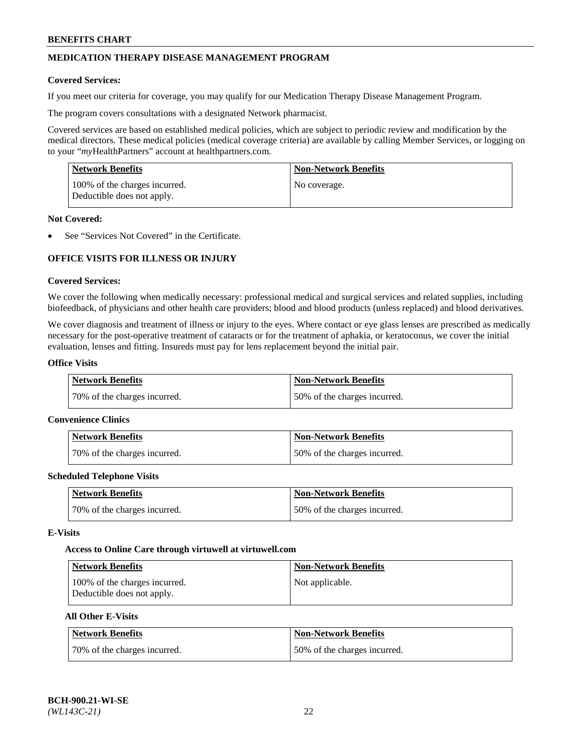# **MEDICATION THERAPY DISEASE MANAGEMENT PROGRAM**

### **Covered Services:**

If you meet our criteria for coverage, you may qualify for our Medication Therapy Disease Management Program.

The program covers consultations with a designated Network pharmacist.

Covered services are based on established medical policies, which are subject to periodic review and modification by the medical directors. These medical policies (medical coverage criteria) are available by calling Member Services, or logging on to your "*my*HealthPartners" account at [healthpartners.com.](http://www.healthpartners.com/)

| Network Benefits                                            | <b>Non-Network Benefits</b> |
|-------------------------------------------------------------|-----------------------------|
| 100% of the charges incurred.<br>Deductible does not apply. | No coverage.                |

### **Not Covered:**

See "Services Not Covered" in the Certificate.

# **OFFICE VISITS FOR ILLNESS OR INJURY**

### **Covered Services:**

We cover the following when medically necessary: professional medical and surgical services and related supplies, including biofeedback, of physicians and other health care providers; blood and blood products (unless replaced) and blood derivatives.

We cover diagnosis and treatment of illness or injury to the eyes. Where contact or eye glass lenses are prescribed as medically necessary for the post-operative treatment of cataracts or for the treatment of aphakia, or keratoconus, we cover the initial evaluation, lenses and fitting. Insureds must pay for lens replacement beyond the initial pair.

# **Office Visits**

| Network Benefits             | <b>Non-Network Benefits</b>  |
|------------------------------|------------------------------|
| 70% of the charges incurred. | 50% of the charges incurred. |

#### **Convenience Clinics**

| Network Benefits             | <b>Non-Network Benefits</b>  |
|------------------------------|------------------------------|
| 70% of the charges incurred. | 50% of the charges incurred. |

#### **Scheduled Telephone Visits**

| <b>Network Benefits</b>      | <b>Non-Network Benefits</b>  |
|------------------------------|------------------------------|
| 70% of the charges incurred. | 50% of the charges incurred. |

#### **E-Visits**

#### **Access to Online Care through virtuwell a[t virtuwell.com](https://www.virtuwell.com/)**

| <b>Network Benefits</b>                                     | <b>Non-Network Benefits</b> |
|-------------------------------------------------------------|-----------------------------|
| 100% of the charges incurred.<br>Deductible does not apply. | Not applicable.             |

# **All Other E-Visits**

| Network Benefits             | <b>Non-Network Benefits</b>  |
|------------------------------|------------------------------|
| 70% of the charges incurred. | 50% of the charges incurred. |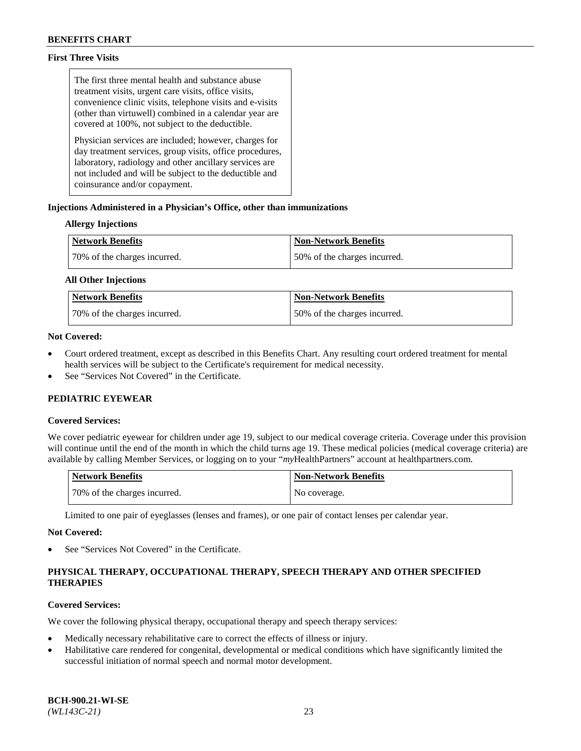# **First Three Visits**

The first three mental health and substance abuse treatment visits, urgent care visits, office visits, convenience clinic visits, telephone visits and e-visits (other than virtuwell) combined in a calendar year are covered at 100%, not subject to the deductible.

Physician services are included; however, charges for day treatment services, group visits, office procedures, laboratory, radiology and other ancillary services are not included and will be subject to the deductible and coinsurance and/or copayment.

# **Injections Administered in a Physician's Office, other than immunizations**

# **Allergy Injections**

| <b>Network Benefits</b>      | <b>Non-Network Benefits</b>  |
|------------------------------|------------------------------|
| 70% of the charges incurred. | 50% of the charges incurred. |

### **All Other Injections**

| <b>Network Benefits</b>      | <b>Non-Network Benefits</b>  |
|------------------------------|------------------------------|
| 70% of the charges incurred. | 50% of the charges incurred. |

# **Not Covered:**

- Court ordered treatment, except as described in this Benefits Chart. Any resulting court ordered treatment for mental health services will be subject to the Certificate's requirement for medical necessity.
- See "Services Not Covered" in the Certificate.

# **PEDIATRIC EYEWEAR**

# **Covered Services:**

We cover pediatric eyewear for children under age 19, subject to our medical coverage criteria. Coverage under this provision will continue until the end of the month in which the child turns age 19. These medical policies (medical coverage criteria) are available by calling Member Services, or logging on to your "*my*HealthPartners" account a[t healthpartners.com.](https://www.healthpartners.com/hp/index.html)

| Network Benefits             | <b>Non-Network Benefits</b> |
|------------------------------|-----------------------------|
| 70% of the charges incurred. | No coverage.                |

Limited to one pair of eyeglasses (lenses and frames), or one pair of contact lenses per calendar year.

#### **Not Covered:**

See "Services Not Covered" in the Certificate.

# **PHYSICAL THERAPY, OCCUPATIONAL THERAPY, SPEECH THERAPY AND OTHER SPECIFIED THERAPIES**

# **Covered Services:**

We cover the following physical therapy, occupational therapy and speech therapy services:

- Medically necessary rehabilitative care to correct the effects of illness or injury.
- Habilitative care rendered for congenital, developmental or medical conditions which have significantly limited the successful initiation of normal speech and normal motor development.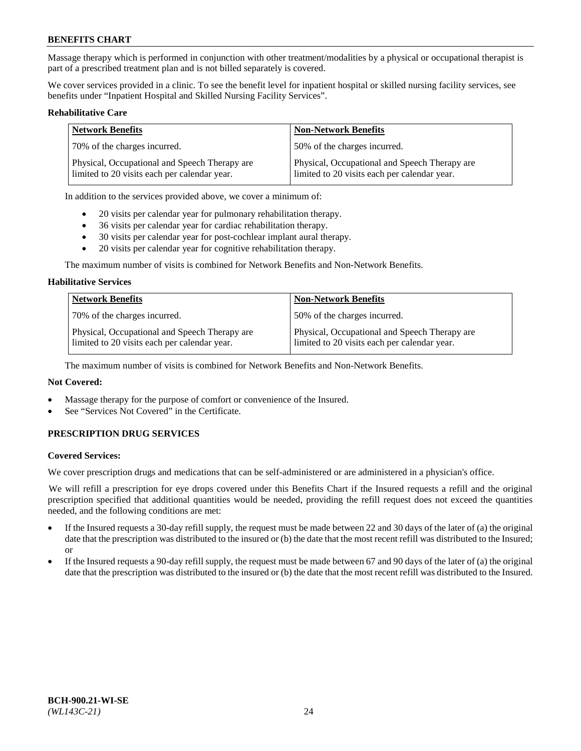Massage therapy which is performed in conjunction with other treatment/modalities by a physical or occupational therapist is part of a prescribed treatment plan and is not billed separately is covered.

We cover services provided in a clinic. To see the benefit level for inpatient hospital or skilled nursing facility services, see benefits under "Inpatient Hospital and Skilled Nursing Facility Services".

#### **Rehabilitative Care**

| <b>Network Benefits</b>                                                                       | <b>Non-Network Benefits</b>                                                                   |
|-----------------------------------------------------------------------------------------------|-----------------------------------------------------------------------------------------------|
| 70% of the charges incurred.                                                                  | 50% of the charges incurred.                                                                  |
| Physical, Occupational and Speech Therapy are<br>limited to 20 visits each per calendar year. | Physical, Occupational and Speech Therapy are<br>limited to 20 visits each per calendar year. |

In addition to the services provided above, we cover a minimum of:

- 20 visits per calendar year for pulmonary rehabilitation therapy.
- 36 visits per calendar year for cardiac rehabilitation therapy.
- 30 visits per calendar year for post-cochlear implant aural therapy.
- 20 visits per calendar year for cognitive rehabilitation therapy.

The maximum number of visits is combined for Network Benefits and Non-Network Benefits.

#### **Habilitative Services**

| <b>Network Benefits</b>                                                                       | <b>Non-Network Benefits</b>                                                                   |
|-----------------------------------------------------------------------------------------------|-----------------------------------------------------------------------------------------------|
| 70% of the charges incurred.                                                                  | 50% of the charges incurred.                                                                  |
| Physical, Occupational and Speech Therapy are<br>limited to 20 visits each per calendar year. | Physical, Occupational and Speech Therapy are<br>limited to 20 visits each per calendar year. |

The maximum number of visits is combined for Network Benefits and Non-Network Benefits.

# **Not Covered:**

- Massage therapy for the purpose of comfort or convenience of the Insured.
- See "Services Not Covered" in the Certificate.

# **PRESCRIPTION DRUG SERVICES**

#### **Covered Services:**

We cover prescription drugs and medications that can be self-administered or are administered in a physician's office.

We will refill a prescription for eye drops covered under this Benefits Chart if the Insured requests a refill and the original prescription specified that additional quantities would be needed, providing the refill request does not exceed the quantities needed, and the following conditions are met:

- If the Insured requests a 30-day refill supply, the request must be made between 22 and 30 days of the later of (a) the original date that the prescription was distributed to the insured or (b) the date that the most recent refill was distributed to the Insured; or
- If the Insured requests a 90-day refill supply, the request must be made between 67 and 90 days of the later of (a) the original date that the prescription was distributed to the insured or (b) the date that the most recent refill was distributed to the Insured.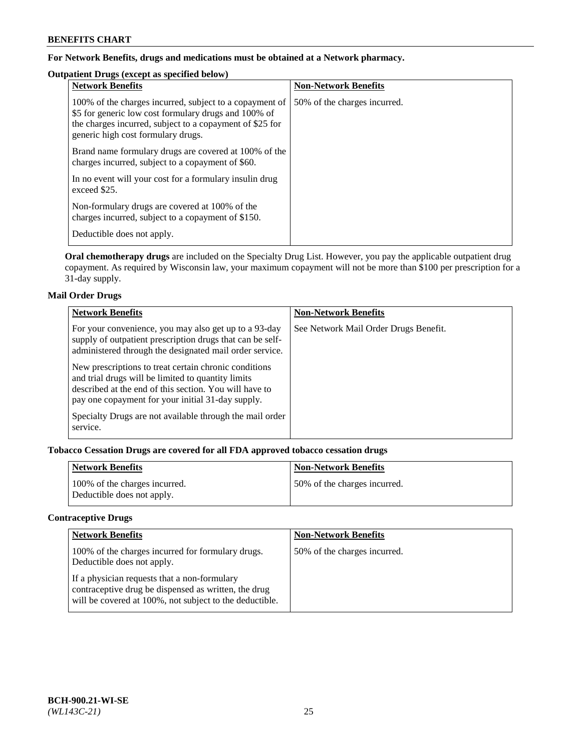# **For Network Benefits, drugs and medications must be obtained at a Network pharmacy.**

# **Outpatient Drugs (except as specified below)**

| <b>Network Benefits</b>                                                                                                                                                                                           | <b>Non-Network Benefits</b>  |
|-------------------------------------------------------------------------------------------------------------------------------------------------------------------------------------------------------------------|------------------------------|
| 100% of the charges incurred, subject to a copayment of<br>\$5 for generic low cost formulary drugs and 100% of<br>the charges incurred, subject to a copayment of \$25 for<br>generic high cost formulary drugs. | 50% of the charges incurred. |
| Brand name formulary drugs are covered at 100% of the<br>charges incurred, subject to a copayment of \$60.                                                                                                        |                              |
| In no event will your cost for a formulary insulin drug<br>exceed \$25.                                                                                                                                           |                              |
| Non-formulary drugs are covered at 100% of the<br>charges incurred, subject to a copayment of \$150.                                                                                                              |                              |
| Deductible does not apply.                                                                                                                                                                                        |                              |

**Oral chemotherapy drugs** are included on the Specialty Drug List. However, you pay the applicable outpatient drug copayment. As required by Wisconsin law, your maximum copayment will not be more than \$100 per prescription for a 31-day supply.

# **Mail Order Drugs**

| <b>Network Benefits</b>                                                                                                                                                                                                    | <b>Non-Network Benefits</b>           |
|----------------------------------------------------------------------------------------------------------------------------------------------------------------------------------------------------------------------------|---------------------------------------|
| For your convenience, you may also get up to a 93-day<br>supply of outpatient prescription drugs that can be self-<br>administered through the designated mail order service.                                              | See Network Mail Order Drugs Benefit. |
| New prescriptions to treat certain chronic conditions<br>and trial drugs will be limited to quantity limits<br>described at the end of this section. You will have to<br>pay one copayment for your initial 31-day supply. |                                       |
| Specialty Drugs are not available through the mail order<br>service.                                                                                                                                                       |                                       |

# **Tobacco Cessation Drugs are covered for all FDA approved tobacco cessation drugs**

| <b>Network Benefits</b>                                     | <b>Non-Network Benefits</b>  |
|-------------------------------------------------------------|------------------------------|
| 100% of the charges incurred.<br>Deductible does not apply. | 50% of the charges incurred. |

# **Contraceptive Drugs**

| <b>Network Benefits</b>                                                                                                                                         | <b>Non-Network Benefits</b>  |
|-----------------------------------------------------------------------------------------------------------------------------------------------------------------|------------------------------|
| 100% of the charges incurred for formulary drugs.<br>Deductible does not apply.                                                                                 | 50% of the charges incurred. |
| If a physician requests that a non-formulary<br>contraceptive drug be dispensed as written, the drug<br>will be covered at 100%, not subject to the deductible. |                              |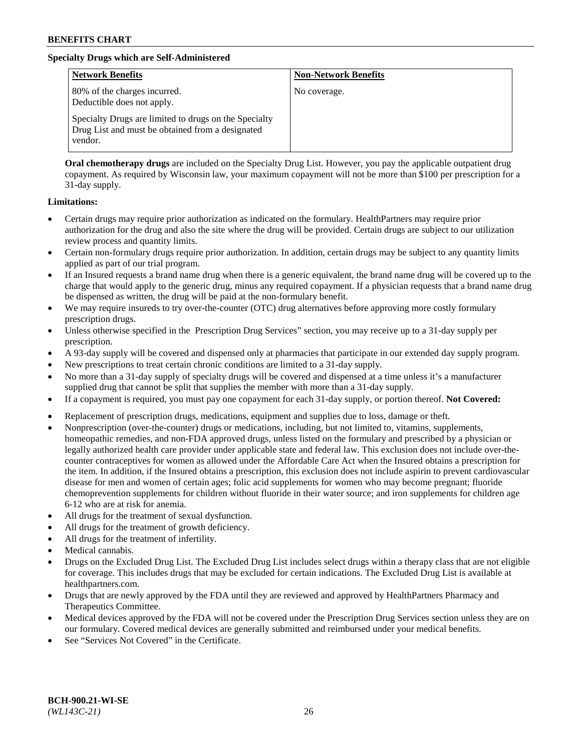# **Specialty Drugs which are Self-Administered**

| <b>Network Benefits</b>                                                                                              | <b>Non-Network Benefits</b> |
|----------------------------------------------------------------------------------------------------------------------|-----------------------------|
| 80% of the charges incurred.<br>Deductible does not apply.                                                           | No coverage.                |
| Specialty Drugs are limited to drugs on the Specialty<br>Drug List and must be obtained from a designated<br>vendor. |                             |

**Oral chemotherapy drugs** are included on the Specialty Drug List. However, you pay the applicable outpatient drug copayment. As required by Wisconsin law, your maximum copayment will not be more than \$100 per prescription for a 31-day supply.

### **Limitations:**

- Certain drugs may require prior authorization as indicated on the formulary. HealthPartners may require prior authorization for the drug and also the site where the drug will be provided. Certain drugs are subject to our utilization review process and quantity limits.
- Certain non-formulary drugs require prior authorization. In addition, certain drugs may be subject to any quantity limits applied as part of our trial program.
- If an Insured requests a brand name drug when there is a generic equivalent, the brand name drug will be covered up to the charge that would apply to the generic drug, minus any required copayment. If a physician requests that a brand name drug be dispensed as written, the drug will be paid at the non-formulary benefit.
- We may require insureds to try over-the-counter (OTC) drug alternatives before approving more costly formulary prescription drugs.
- Unless otherwise specified in the Prescription Drug Services" section, you may receive up to a 31-day supply per prescription.
- A 93-day supply will be covered and dispensed only at pharmacies that participate in our extended day supply program.
- New prescriptions to treat certain chronic conditions are limited to a 31-day supply.
- No more than a 31-day supply of specialty drugs will be covered and dispensed at a time unless it's a manufacturer supplied drug that cannot be split that supplies the member with more than a 31-day supply.
- If a copayment is required, you must pay one copayment for each 31-day supply, or portion thereof. **Not Covered:**
- Replacement of prescription drugs, medications, equipment and supplies due to loss, damage or theft.
- Nonprescription (over-the-counter) drugs or medications, including, but not limited to, vitamins, supplements, homeopathic remedies, and non-FDA approved drugs, unless listed on the formulary and prescribed by a physician or legally authorized health care provider under applicable state and federal law. This exclusion does not include over-thecounter contraceptives for women as allowed under the Affordable Care Act when the Insured obtains a prescription for the item. In addition, if the Insured obtains a prescription, this exclusion does not include aspirin to prevent cardiovascular disease for men and women of certain ages; folic acid supplements for women who may become pregnant; fluoride chemoprevention supplements for children without fluoride in their water source; and iron supplements for children age 6-12 who are at risk for anemia.
- All drugs for the treatment of sexual dysfunction.
- All drugs for the treatment of growth deficiency.
- All drugs for the treatment of infertility.
- Medical cannabis.
- Drugs on the Excluded Drug List. The Excluded Drug List includes select drugs within a therapy class that are not eligible for coverage. This includes drugs that may be excluded for certain indications. The Excluded Drug List is available at [healthpartners.com.](http://www.healthpartners.com/)
- Drugs that are newly approved by the FDA until they are reviewed and approved by HealthPartners Pharmacy and Therapeutics Committee.
- Medical devices approved by the FDA will not be covered under the Prescription Drug Services section unless they are on our formulary. Covered medical devices are generally submitted and reimbursed under your medical benefits.
- See "Services Not Covered" in the Certificate.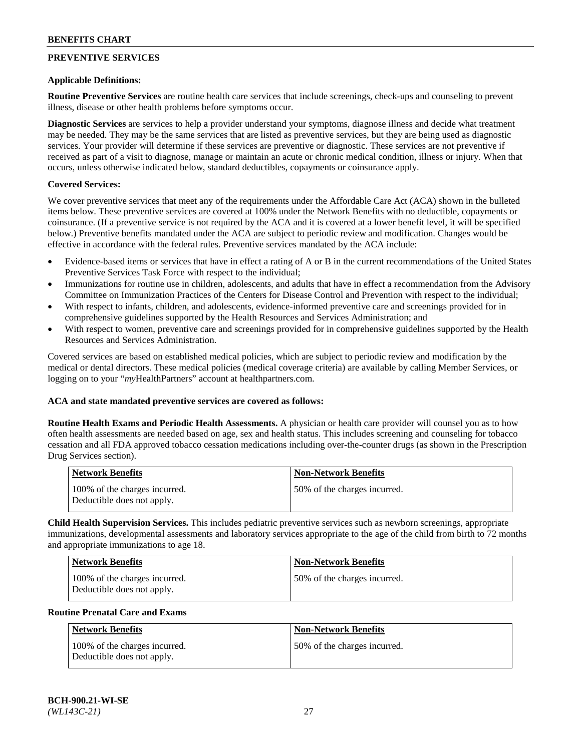# **PREVENTIVE SERVICES**

#### **Applicable Definitions:**

**Routine Preventive Services** are routine health care services that include screenings, check-ups and counseling to prevent illness, disease or other health problems before symptoms occur.

**Diagnostic Services** are services to help a provider understand your symptoms, diagnose illness and decide what treatment may be needed. They may be the same services that are listed as preventive services, but they are being used as diagnostic services. Your provider will determine if these services are preventive or diagnostic. These services are not preventive if received as part of a visit to diagnose, manage or maintain an acute or chronic medical condition, illness or injury. When that occurs, unless otherwise indicated below, standard deductibles, copayments or coinsurance apply.

### **Covered Services:**

We cover preventive services that meet any of the requirements under the Affordable Care Act (ACA) shown in the bulleted items below. These preventive services are covered at 100% under the Network Benefits with no deductible, copayments or coinsurance. (If a preventive service is not required by the ACA and it is covered at a lower benefit level, it will be specified below.) Preventive benefits mandated under the ACA are subject to periodic review and modification. Changes would be effective in accordance with the federal rules. Preventive services mandated by the ACA include:

- Evidence-based items or services that have in effect a rating of A or B in the current recommendations of the United States Preventive Services Task Force with respect to the individual;
- Immunizations for routine use in children, adolescents, and adults that have in effect a recommendation from the Advisory Committee on Immunization Practices of the Centers for Disease Control and Prevention with respect to the individual;
- With respect to infants, children, and adolescents, evidence-informed preventive care and screenings provided for in comprehensive guidelines supported by the Health Resources and Services Administration; and
- With respect to women, preventive care and screenings provided for in comprehensive guidelines supported by the Health Resources and Services Administration.

Covered services are based on established medical policies, which are subject to periodic review and modification by the medical or dental directors. These medical policies (medical coverage criteria) are available by calling Member Services, or logging on to your "*my*HealthPartners" account at [healthpartners.com.](https://www.healthpartners.com/hp/index.html)

### **ACA and state mandated preventive services are covered as follows:**

**Routine Health Exams and Periodic Health Assessments.** A physician or health care provider will counsel you as to how often health assessments are needed based on age, sex and health status. This includes screening and counseling for tobacco cessation and all FDA approved tobacco cessation medications including over-the-counter drugs (as shown in the Prescription Drug Services section).

| Network Benefits                                            | <b>Non-Network Benefits</b>  |
|-------------------------------------------------------------|------------------------------|
| 100% of the charges incurred.<br>Deductible does not apply. | 50% of the charges incurred. |

**Child Health Supervision Services.** This includes pediatric preventive services such as newborn screenings, appropriate immunizations, developmental assessments and laboratory services appropriate to the age of the child from birth to 72 months and appropriate immunizations to age 18.

| Network Benefits                                            | <b>Non-Network Benefits</b>  |
|-------------------------------------------------------------|------------------------------|
| 100% of the charges incurred.<br>Deductible does not apply. | 50% of the charges incurred. |

#### **Routine Prenatal Care and Exams**

| Network Benefits                                            | <b>Non-Network Benefits</b>  |
|-------------------------------------------------------------|------------------------------|
| 100% of the charges incurred.<br>Deductible does not apply. | 50% of the charges incurred. |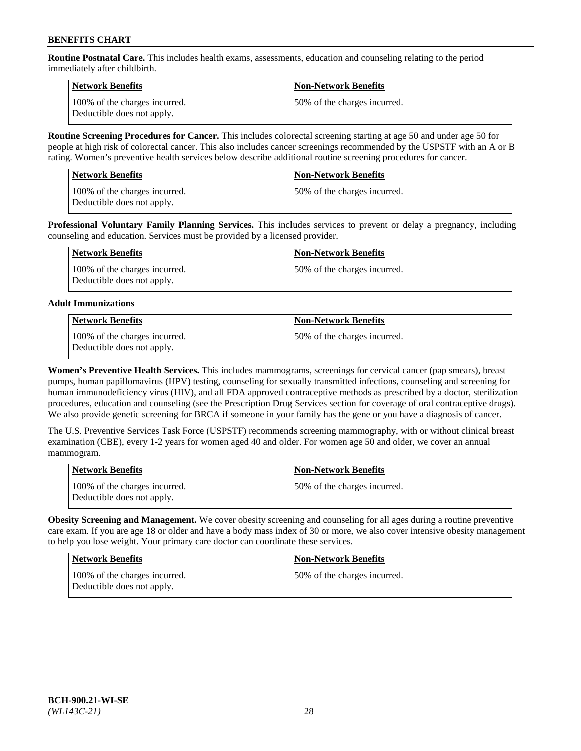**Routine Postnatal Care.** This includes health exams, assessments, education and counseling relating to the period immediately after childbirth.

| Network Benefits                                            | <b>Non-Network Benefits</b>  |
|-------------------------------------------------------------|------------------------------|
| 100% of the charges incurred.<br>Deductible does not apply. | 50% of the charges incurred. |

**Routine Screening Procedures for Cancer.** This includes colorectal screening starting at age 50 and under age 50 for people at high risk of colorectal cancer. This also includes cancer screenings recommended by the USPSTF with an A or B rating. Women's preventive health services below describe additional routine screening procedures for cancer.

| <b>Network Benefits</b>                                     | <b>Non-Network Benefits</b>  |
|-------------------------------------------------------------|------------------------------|
| 100% of the charges incurred.<br>Deductible does not apply. | 50% of the charges incurred. |

**Professional Voluntary Family Planning Services.** This includes services to prevent or delay a pregnancy, including counseling and education. Services must be provided by a licensed provider.

| Network Benefits                                            | <b>Non-Network Benefits</b>  |
|-------------------------------------------------------------|------------------------------|
| 100% of the charges incurred.<br>Deductible does not apply. | 50% of the charges incurred. |

# **Adult Immunizations**

| Network Benefits                                            | Non-Network Benefits         |
|-------------------------------------------------------------|------------------------------|
| 100% of the charges incurred.<br>Deductible does not apply. | 50% of the charges incurred. |

**Women's Preventive Health Services.** This includes mammograms, screenings for cervical cancer (pap smears), breast pumps, human papillomavirus (HPV) testing, counseling for sexually transmitted infections, counseling and screening for human immunodeficiency virus (HIV), and all FDA approved contraceptive methods as prescribed by a doctor, sterilization procedures, education and counseling (see the Prescription Drug Services section for coverage of oral contraceptive drugs). We also provide genetic screening for BRCA if someone in your family has the gene or you have a diagnosis of cancer.

The U.S. Preventive Services Task Force (USPSTF) recommends screening mammography, with or without clinical breast examination (CBE), every 1-2 years for women aged 40 and older. For women age 50 and older, we cover an annual mammogram.

| <b>Network Benefits</b>                                     | <b>Non-Network Benefits</b>  |
|-------------------------------------------------------------|------------------------------|
| 100% of the charges incurred.<br>Deductible does not apply. | 50% of the charges incurred. |

**Obesity Screening and Management.** We cover obesity screening and counseling for all ages during a routine preventive care exam. If you are age 18 or older and have a body mass index of 30 or more, we also cover intensive obesity management to help you lose weight. Your primary care doctor can coordinate these services.

| <b>Network Benefits</b>                                     | <b>Non-Network Benefits</b>  |
|-------------------------------------------------------------|------------------------------|
| 100% of the charges incurred.<br>Deductible does not apply. | 50% of the charges incurred. |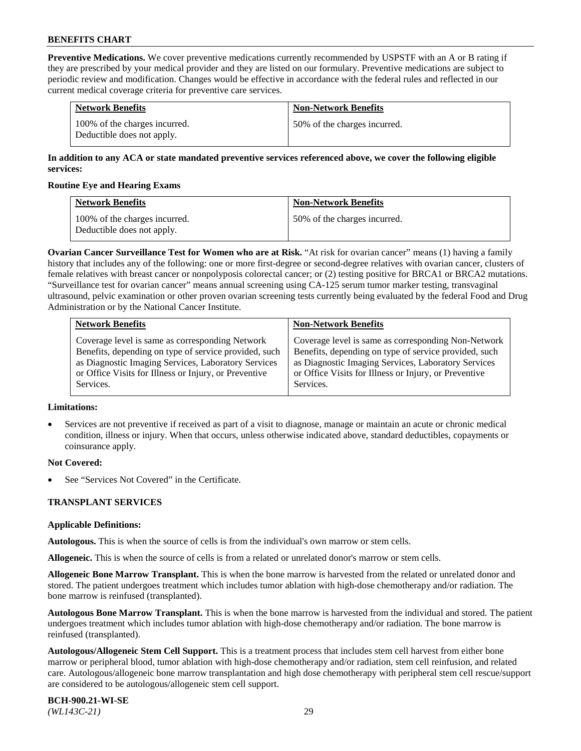**Preventive Medications.** We cover preventive medications currently recommended by USPSTF with an A or B rating if they are prescribed by your medical provider and they are listed on our formulary. Preventive medications are subject to periodic review and modification. Changes would be effective in accordance with the federal rules and reflected in our current medical coverage criteria for preventive care services.

| <b>Network Benefits</b>                                     | <b>Non-Network Benefits</b>  |
|-------------------------------------------------------------|------------------------------|
| 100% of the charges incurred.<br>Deductible does not apply. | 50% of the charges incurred. |

# **In addition to any ACA or state mandated preventive services referenced above, we cover the following eligible services:**

### **Routine Eye and Hearing Exams**

| <b>Network Benefits</b>                                     | <b>Non-Network Benefits</b>  |
|-------------------------------------------------------------|------------------------------|
| 100% of the charges incurred.<br>Deductible does not apply. | 50% of the charges incurred. |

**Ovarian Cancer Surveillance Test for Women who are at Risk.** "At risk for ovarian cancer" means (1) having a family history that includes any of the following: one or more first-degree or second-degree relatives with ovarian cancer, clusters of female relatives with breast cancer or nonpolyposis colorectal cancer; or (2) testing positive for BRCA1 or BRCA2 mutations. "Surveillance test for ovarian cancer" means annual screening using CA-125 serum tumor marker testing, transvaginal ultrasound, pelvic examination or other proven ovarian screening tests currently being evaluated by the federal Food and Drug Administration or by the National Cancer Institute.

| <b>Network Benefits</b>                               | <b>Non-Network Benefits</b>                           |
|-------------------------------------------------------|-------------------------------------------------------|
| Coverage level is same as corresponding Network       | Coverage level is same as corresponding Non-Network   |
| Benefits, depending on type of service provided, such | Benefits, depending on type of service provided, such |
| as Diagnostic Imaging Services, Laboratory Services   | as Diagnostic Imaging Services, Laboratory Services   |
| or Office Visits for Illness or Injury, or Preventive | or Office Visits for Illness or Injury, or Preventive |
| Services.                                             | Services.                                             |

#### **Limitations:**

• Services are not preventive if received as part of a visit to diagnose, manage or maintain an acute or chronic medical condition, illness or injury. When that occurs, unless otherwise indicated above, standard deductibles, copayments or coinsurance apply.

# **Not Covered:**

See "Services Not Covered" in the Certificate.

# **TRANSPLANT SERVICES**

# **Applicable Definitions:**

**Autologous.** This is when the source of cells is from the individual's own marrow or stem cells.

**Allogeneic.** This is when the source of cells is from a related or unrelated donor's marrow or stem cells.

**Allogeneic Bone Marrow Transplant.** This is when the bone marrow is harvested from the related or unrelated donor and stored. The patient undergoes treatment which includes tumor ablation with high-dose chemotherapy and/or radiation. The bone marrow is reinfused (transplanted).

**Autologous Bone Marrow Transplant.** This is when the bone marrow is harvested from the individual and stored. The patient undergoes treatment which includes tumor ablation with high-dose chemotherapy and/or radiation. The bone marrow is reinfused (transplanted).

**Autologous/Allogeneic Stem Cell Support.** This is a treatment process that includes stem cell harvest from either bone marrow or peripheral blood, tumor ablation with high-dose chemotherapy and/or radiation, stem cell reinfusion, and related care. Autologous/allogeneic bone marrow transplantation and high dose chemotherapy with peripheral stem cell rescue/support are considered to be autologous/allogeneic stem cell support.

**BCH-900.21-WI-SE**  *(WL143C-21)* 29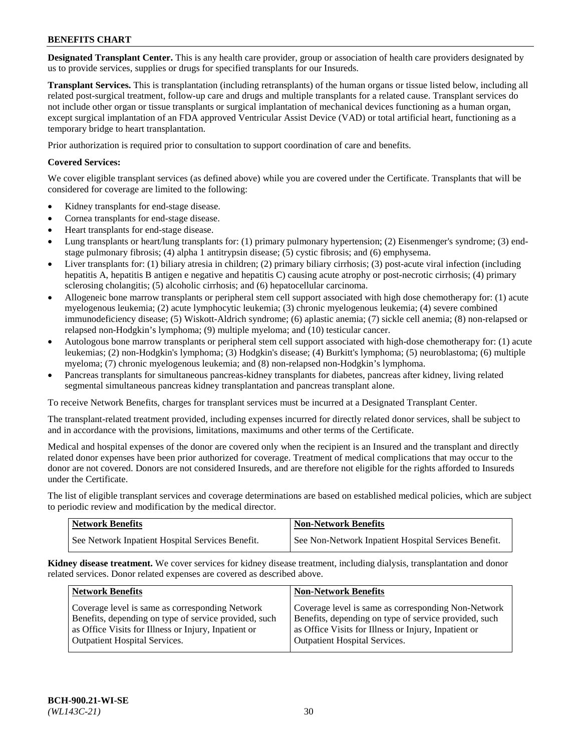**Designated Transplant Center.** This is any health care provider, group or association of health care providers designated by us to provide services, supplies or drugs for specified transplants for our Insureds.

**Transplant Services.** This is transplantation (including retransplants) of the human organs or tissue listed below, including all related post-surgical treatment, follow-up care and drugs and multiple transplants for a related cause. Transplant services do not include other organ or tissue transplants or surgical implantation of mechanical devices functioning as a human organ, except surgical implantation of an FDA approved Ventricular Assist Device (VAD) or total artificial heart, functioning as a temporary bridge to heart transplantation.

Prior authorization is required prior to consultation to support coordination of care and benefits.

# **Covered Services:**

We cover eligible transplant services (as defined above) while you are covered under the Certificate. Transplants that will be considered for coverage are limited to the following:

- Kidney transplants for end-stage disease.
- Cornea transplants for end-stage disease.
- Heart transplants for end-stage disease.
- Lung transplants or heart/lung transplants for: (1) primary pulmonary hypertension; (2) Eisenmenger's syndrome; (3) endstage pulmonary fibrosis; (4) alpha 1 antitrypsin disease; (5) cystic fibrosis; and (6) emphysema.
- Liver transplants for: (1) biliary atresia in children; (2) primary biliary cirrhosis; (3) post-acute viral infection (including hepatitis A, hepatitis B antigen e negative and hepatitis C) causing acute atrophy or post-necrotic cirrhosis; (4) primary sclerosing cholangitis; (5) alcoholic cirrhosis; and (6) hepatocellular carcinoma.
- Allogeneic bone marrow transplants or peripheral stem cell support associated with high dose chemotherapy for: (1) acute myelogenous leukemia; (2) acute lymphocytic leukemia; (3) chronic myelogenous leukemia; (4) severe combined immunodeficiency disease; (5) Wiskott-Aldrich syndrome; (6) aplastic anemia; (7) sickle cell anemia; (8) non-relapsed or relapsed non-Hodgkin's lymphoma; (9) multiple myeloma; and (10) testicular cancer.
- Autologous bone marrow transplants or peripheral stem cell support associated with high-dose chemotherapy for: (1) acute leukemias; (2) non-Hodgkin's lymphoma; (3) Hodgkin's disease; (4) Burkitt's lymphoma; (5) neuroblastoma; (6) multiple myeloma; (7) chronic myelogenous leukemia; and (8) non-relapsed non-Hodgkin's lymphoma.
- Pancreas transplants for simultaneous pancreas-kidney transplants for diabetes, pancreas after kidney, living related segmental simultaneous pancreas kidney transplantation and pancreas transplant alone.

To receive Network Benefits, charges for transplant services must be incurred at a Designated Transplant Center.

The transplant-related treatment provided, including expenses incurred for directly related donor services, shall be subject to and in accordance with the provisions, limitations, maximums and other terms of the Certificate.

Medical and hospital expenses of the donor are covered only when the recipient is an Insured and the transplant and directly related donor expenses have been prior authorized for coverage. Treatment of medical complications that may occur to the donor are not covered. Donors are not considered Insureds, and are therefore not eligible for the rights afforded to Insureds under the Certificate.

The list of eligible transplant services and coverage determinations are based on established medical policies, which are subject to periodic review and modification by the medical director.

| <b>Network Benefits</b>                          | <b>Non-Network Benefits</b>                            |
|--------------------------------------------------|--------------------------------------------------------|
| See Network Inpatient Hospital Services Benefit. | I See Non-Network Inpatient Hospital Services Benefit. |

**Kidney disease treatment.** We cover services for kidney disease treatment, including dialysis, transplantation and donor related services. Donor related expenses are covered as described above.

| <b>Network Benefits</b>                                                                                  | <b>Non-Network Benefits</b>                                                                                  |
|----------------------------------------------------------------------------------------------------------|--------------------------------------------------------------------------------------------------------------|
| Coverage level is same as corresponding Network<br>Benefits, depending on type of service provided, such | Coverage level is same as corresponding Non-Network<br>Benefits, depending on type of service provided, such |
| as Office Visits for Illness or Injury, Inpatient or                                                     | as Office Visits for Illness or Injury, Inpatient or                                                         |
| <b>Outpatient Hospital Services.</b>                                                                     | <b>Outpatient Hospital Services.</b>                                                                         |